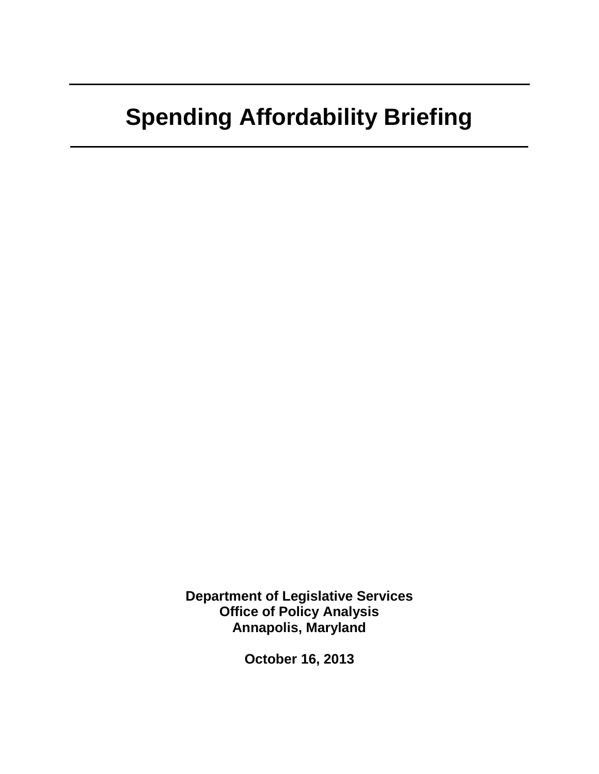### **Spending Affordability Briefing**

**Department of Legislative Services Office of Policy Analysis Annapolis, Maryland** 

**October 16, 2013**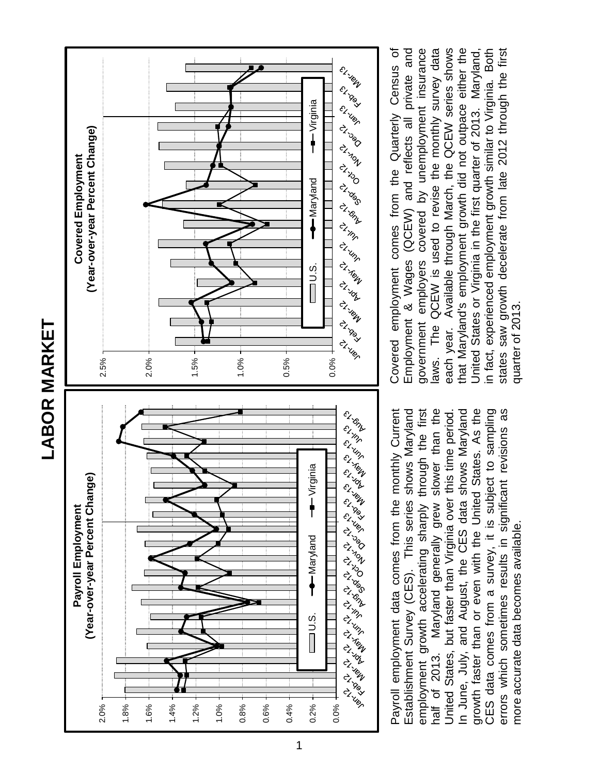**LABOR MARKET LABOR MARKET** 





Payroll employment data comes from the monthly Current Establishment Survey (CES). This series shows Maryland employment growth accelerating sharply through the first employment growth accelerating sharply through the first half of 2013. Maryland generally grew slower than the half of 2013. Maryland generally grew slower than the In June, July, and August, the CES data shows Maryland growth faster than or even with the United States. As the CES data comes from a survey, it is subject to sampling CES data comes from a survey, it is subject to sampling errors which sometimes results in significant revisions as Payroll employment data comes from the monthly Current Establishment Survey (CES). This series shows Maryland United States, but faster than Virginia over this time period. In June, July, and August, the CES data shows Maryland growth faster than or even with the United States. As the errors which sometimes results in significant revisions as United States, but faster than Virginia over this time period more accurate data becomes available. more accurate data becomes available.

laws. The QCEW is used to revise the monthly survey data each year. Available through March, the QCEW series shows Covered employment comes from the Quarterly Census of Covered employment comes from the Quarterly Census of Employment & Wages (QCEW) and reflects all private and Employment & Wages (QCEW) and reflects all private and government employers covered by unemployment insurance government employers covered by unemployment insurance laws. The QCEW is used to revise the monthly survey data each year. Available through March, the QCEW series shows that Maryland's employment growth did not outpace either the that Maryland's employment growth did not outpace either the United States or Virginia in the first quarter of 2013. Maryland, in fact, experienced employment growth similar to Virginia. Both states saw growth decelerate from late 2012 through the first United States or Virginia in the first quarter of 2013. Maryland, in fact, experienced employment growth similar to Virginia. Both states saw growth decelerate from late 2012 through the first quarter of 2013. quarter of 2013.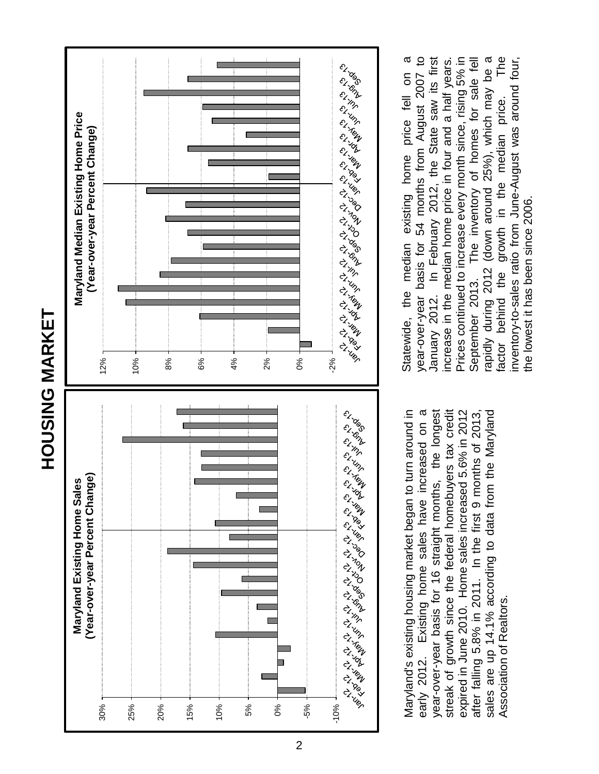



Maryland's existing housing market began to turn around in Existing home sales have increased on a year-over-year basis for 16 straight months, the longest expired in June 2010. Home sales increased 5.6% in 2012 Maryland's existing housing market began to turn around in early 2012. Existing home sales have increased on a year-over-year basis for 16 straight months, the longest streak of growth since the federal homebuyers tax credit streak of growth since the federal homebuyers tax credit expired in June 2010. Home sales increased 5.6% in 2012 after falling 5.8% in 2011. In the first 9 months of 2013, sales are up 14.1% according to data from the Maryland sales are up 14.1% according to data from the Maryland after falling 5.8% in 2011. In the first 9 months of 2013, Association of Realtors. Association of Realtors. early 2012.

The year-over-year basis for 54 months from August 2007 to increase in the median home price in four and a half years. Statewide, the median existing home price fell on a In February 2012, the State saw its first Prices continued to increase every month since, rising 5% in rapidly during 2012 (down around 25%), which may be a Statewide, the median existing home price fell on a year-over-year basis for 54 months from August 2007 to increase in the median home price in four and a half years. Prices continued to increase every month since, rising 5% in September 2013. The inventory of homes for sale fell September 2013. The inventory of homes for sale fell rapidly during 2012 (down around 25%), which may be a factor behind the growth in the median price. The inventory-to-sales ratio from June-August was around four, inventory-to-sales ratio from June-August was around four, January 2012. In February 2012, the State saw its first factor behind the growth in the median price. the lowest it has been since 2006. the lowest it has been since 2006. January 2012.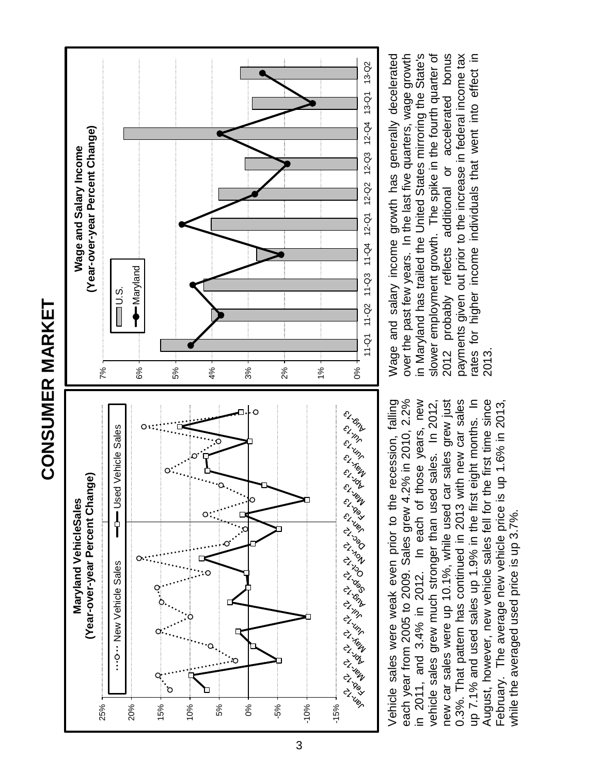



accelerated bonus Wage and salary income growth has generally decelerated over the past few years. In the last five quarters, wage growth in Maryland has trailed the United States mirroring the State's slower employment growth. The spike in the fourth quarter of payments given out prior to the increase in federal income tax rates for higher income individuals that went into effect in Wage and salary income growth has generally decelerated over the past few years. In the last five quarters, wage growth in Maryland has trailed the United States mirroring the State's slower employment growth. The spike in the fourth quarter of 2012 probably reflects additional or accelerated bonus payments given out prior to the increase in federal income tax rates for higher income individuals that went into effect in 2012 probably reflects additional or 2013.

## **CONSUMER MARKET CONSUMER MARKET**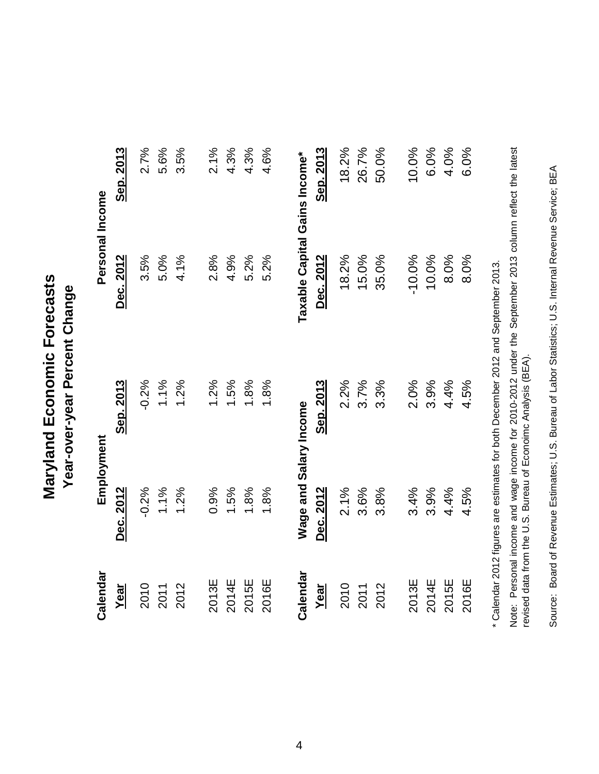Maryland Economic Forecasts **Maryland Economic Forecasts** Year-over-year Percent Change **Year-over-year Percent Change**

| Calendar | Employment             |                  | Personal Income               |           |
|----------|------------------------|------------------|-------------------------------|-----------|
| Year     | Dec. 2012              | Sep. 2013        | Dec. 2012                     | Sep. 2013 |
| 2010     | $-0.2%$                | $-0.2%$          | 3.5%                          | 2.7%      |
| 2011     | 1.1%                   | 1.1%             | 5.0%                          | 5.6%      |
| 2012     | 1.2%                   | 1.2%             | 4.1%                          | 3.5%      |
| 2013E    | 0.9%                   | 1.2%             | 2.8%                          | 2.1%      |
| 2014E    | 1.5%                   | 1.5%             | 4.9%                          | 4.3%      |
| 2015E    | 1.8%                   | 1.8%             | 5.2%                          | 4.3%      |
| 2016E    | 1.8%                   | 1.8%             | 5.2%                          | 4.6%      |
| Calendar | Wage and Salary Income |                  | Taxable Capital Gains Income* |           |
| Year     | Dec. 2012              | <u>Sep. 2013</u> | Dec. 2012                     | Sep. 2013 |
| 2010     | 2.1%                   | 2.2%             | 18.2%                         | 18.2%     |
| 2011     | 3.6%                   | 3.7%             | 15.0%                         | 26.7%     |
| 2012     | 3.8%                   | 3.3%             | 35.0%                         | 50.0%     |
| 2013E    | 3.4%                   | 2.0%             | $-10.0%$                      | 10.0%     |
| 2014E    | 3.9%                   | 3.9%             | 10.0%                         | 6.0%      |
| 2015E    | 4.4%                   | 4.4%             | 8.0%                          | 4.0%      |
| 2016E    | 4.5%                   | 4.5%             | 8.0%                          | 6.0%      |
|          |                        |                  |                               |           |

\* Calendar 2012 figures are estimates for both December 2012 and September 2013. \* Calendar 2012 figures are estimates for both December 2012 and September 2013.

Note: Personal income and wage income for 2010-2012 under the September 2013 column reflect the latest<br>revised data from the U.S. Bureau of Econoimc Analysis (BEA). and wage income for 2010-2012 under the September 2013 column reflect the latest revised data from the U.S. Bureau of Econoimc Analysis (BEA). Note: Personal income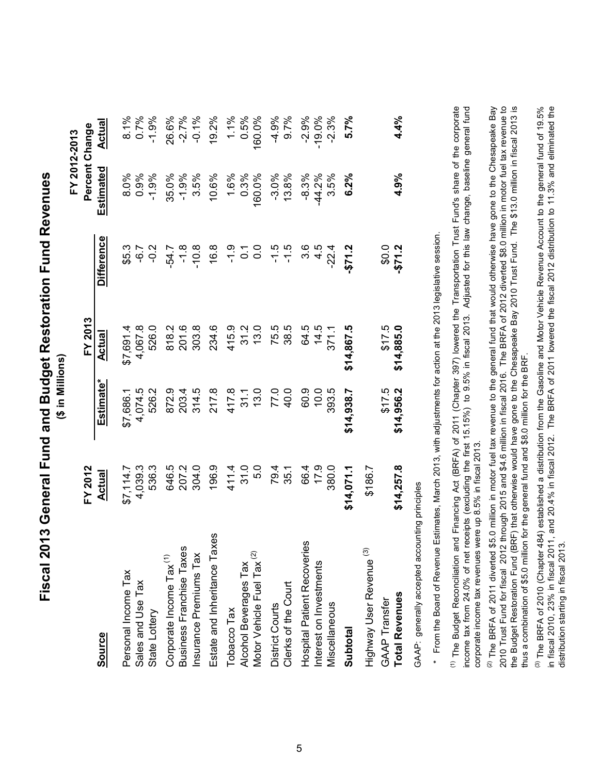| Fiscal 2013 General Fund and Budget Restoration Fund Reven | $\sim$ Millies |
|------------------------------------------------------------|----------------|
|                                                            |                |
|                                                            |                |
|                                                            |                |
|                                                            |                |

|                                       | FY 2012         |                       | FY 2013    |                   | Percent Change<br>FY 2012-2013 |          |
|---------------------------------------|-----------------|-----------------------|------------|-------------------|--------------------------------|----------|
| <b>Source</b>                         | <u>Actual</u>   | Estimate*             | Actual     | <b>Difference</b> | Estimated                      | Actual   |
| Personal Income Tax                   | 7.114.7<br>49   | \$7,686.1             | \$7,691.4  | \$5.3             | 8.0%                           | 8.1%     |
| Sales and Use Tax                     | ,039.3          | 4,074.5               | 4,067.8    | 7ء<br>م           | 0.9%                           | 0.7%     |
| State Lottery                         | 536.3           | 526.2                 | 526.0      | $-0.2$            | $-1.9%$                        | $-1.9%$  |
| Corporate Income Tax <sup>(1)</sup>   | 646.5           | 872.9                 | 818.2      | $-54.7$           | 35.0%                          | 26.6%    |
| Business Franchise Taxes              | 207.2           | 203.4                 | 201.6      | $\frac{8}{1}$     | $-1.9%$                        | $-2.7%$  |
| Insurance Premiums Tax                | 304.0           | 314.5                 | 303.8      | $-10.8$           | 3.5%                           | $-0.1%$  |
| Estate and Inheritance Taxes          | 196.9           | 217.8                 | 234.6      | 16.8              | 10.6%                          | 19.2%    |
| Tobacco Tax                           | 411.4           |                       | 415.9      | $-1.9$            |                                | 1.1%     |
| Alcohol Beverages Tax                 | 31.0            | 417.8<br>31.1<br>13.0 | 31.2       | $\frac{7}{0}$ 0   | 1.6%<br>0.3%                   | 0.5%     |
| Motor Vehicle Fuel Tax <sup>(2)</sup> | 5.0             |                       | 13.0       |                   | 160.0%                         | 160.0%   |
| District Courts                       |                 | 77.0                  | 75.5       | $-1.5$            | $-3.0%$                        | $-4.9%$  |
| Clerks of the Court                   | 79.4<br>35.1    | 40.0                  | 38.5       | $-1.5$            | 13.8%                          | 9.7%     |
| <b>Hospital Patient Recoveries</b>    |                 | 60.9                  | 64.5       | $3.\overline{6}$  | $-8.3%$                        | $-2.9%$  |
| Interest on Investments               | 664<br>179      | $\frac{0}{2}$         | 14.5       | 4.5               | $-44.2%$                       | $-19.0%$ |
| Miscellaneous                         | 380.0           | 393.5                 | 371.1      | $-22.4$           | 3.5%                           | $-2.3%$  |
| Subtotal                              | .11,071<br>\$14 | \$14,938.7            | \$14,867.5 | -\$71.2           | 6.2%                           | 5.7%     |
| Highway User Revenue <sup>(3)</sup>   | \$186.7         |                       |            |                   |                                |          |
| <b>GAAP Transfer</b>                  |                 | \$17.5                | \$17.5     | 0.04              |                                |          |
| <b>Total Revenues</b>                 | 1,257.8<br>\$14 | \$14,956.2            | \$14,885.0 | $-571.2$          | 4.9%                           | 4.4%     |
|                                       |                 |                       |            |                   |                                |          |

GAAP: generally accepted accounting principles GAAP: generally accepted accounting principles \* From the Board of Revenue Estimates, March 2013, with adjustments for action at the 2013 legislative session. \* From the Board of Revenue Estimates, March 2013, with adjustments for action at the 2013 legislative session. <sup>(1)</sup> The Budget Reconciliation and Financing Act (BRFA) of 2011 (Chapter 397) lowered the Transportation Trust Fund's share of the corporate income tax from 24.0% of net receipts (excluding the first 15.15%) to 9.5% in fiscal 2013. Adjusted for this law change, baseline general fund The Budget Reconciliation and Financing Act (BRFA) of 2011 (Chapter 397) lowered the Transportation Trust Fund's share of the corporate income tax from 24.0% of net receipts (excluding the first 15.15%) to 9.5% in fiscal 2013. Adjusted for this law change, baseline general fund corporate income tax revenues were up 8.5% in fiscal 2013. corporate income tax revenues were up 8.5% in fiscal 2013.

2010 Trust Fund for fiscal 2012 through 2015 and \$4.6 million in fiscal 2016. The BRFA of 2012 diverted \$8.0 million in motor fuel tax revenue to<br>the Budget Restoration Fund (BRF) that otherwise would have gone to the Ches <sup>(2)</sup> The BRFA of 2011 diverted \$5.0 million in motor fuel tax revenue to the general fund that would otherwise have gone to the Chesapeake Bay The BRFA of 2011 diverted \$5.0 million in motor fuel tax revenue to the general fund that would otherwise have gone to the Chesapeake Bay 2010 Trust Fund for fiscal 2012 through 2015 and \$4.6 million in fiscal 2016. The BRFA of 2012 diverted \$8.0 million in motor fuel tax revenue to the Budget Restoration Fund (BRF) that otherwise would have gone to the Chesapeake Bay 2010 Trust Fund. The \$13.0 million in fiscal 2013 is thus a combination of \$5.0 million for the general fund and \$8.0 million for the BRF. thus a combination of \$5.0 million for the general fund and \$8.0 million for the BRF.

(3) The BRFA of 2010 (Chapter 484) established a distribution from the Gasoline and Motor Vehicle Revenue Account to the general fund of 19.5% in fiscal 2010, 23% in fiscal 2011, and 20.4% in fiscal 2012. The BRFA of 2011 lowered the fiscal 2012 distribution to 11.3% and eliminated the The BRFA of 2010 (Chapter 484) established a distribution from the Gasoline and Motor Vehicle Revenue Account to the general fund of 19.5% in fiscal 2010, 23% in fiscal 2011, and 20.4% in fiscal 2012. The BRFA of 2011 lowered the fiscal 2012 distribution to 11.3% and eliminated the distribution starting in fiscal 2013. distribution starting in fiscal 2013.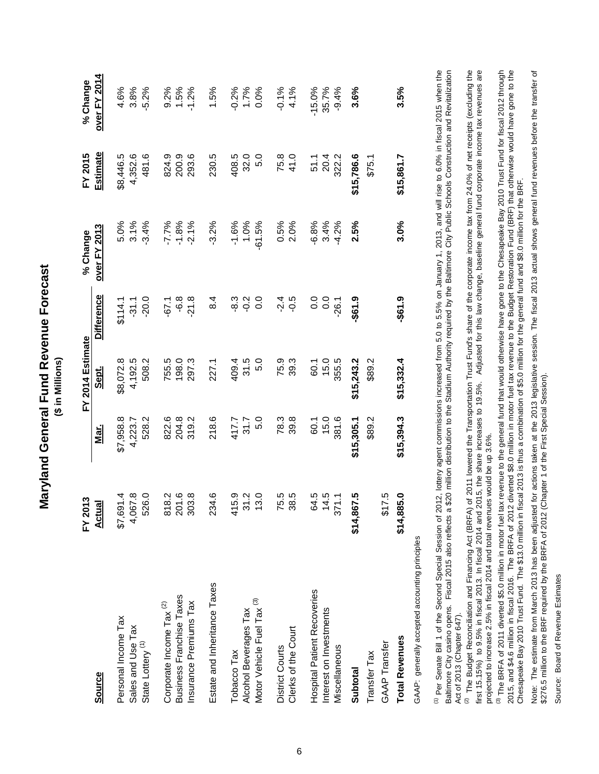| Forecas<br>d General Fund Revenue F | n ui \$) |
|-------------------------------------|----------|
| <b>Nand</b><br>ัล<br>ส              |          |

|                                                                                                                                                                                                                                                                                                                                                                                                                           | FY 2013       |            | FY 2014 Estimate |                   | % Change                                                                              | FY 2015    | % Change            |
|---------------------------------------------------------------------------------------------------------------------------------------------------------------------------------------------------------------------------------------------------------------------------------------------------------------------------------------------------------------------------------------------------------------------------|---------------|------------|------------------|-------------------|---------------------------------------------------------------------------------------|------------|---------------------|
| <b>Source</b>                                                                                                                                                                                                                                                                                                                                                                                                             | <u>Actual</u> | Mar.       | <u>Sept.</u>     | <b>Difference</b> | <b>over FY 2013</b>                                                                   | Estimate   | <b>over FY 2014</b> |
| Personal Income Tax                                                                                                                                                                                                                                                                                                                                                                                                       | \$7,691.4     | \$7,958.8  | \$8,072.8        | \$114.1           | 5.0%                                                                                  | \$8,446.5  | 4.6%                |
| Sales and Use Tax                                                                                                                                                                                                                                                                                                                                                                                                         | 4,067.8       | 4,223.7    | 4,192.5          | $-31.1$           | 3.1%                                                                                  | 4,352.6    | 3.8%                |
| State Lottery <sup>(1)</sup>                                                                                                                                                                                                                                                                                                                                                                                              | 526.0         | 528.2      | 508.2            | $-20.0$           | $-3.4%$                                                                               | 481.6      | $-5.2%$             |
| Corporate Income Tax <sup>(2)</sup>                                                                                                                                                                                                                                                                                                                                                                                       | 818.2         | 822.6      | 755.5            | $-67.1$           | $-7.7%$                                                                               | 824.9      | 9.2%                |
| <b>Business Franchise Taxes</b>                                                                                                                                                                                                                                                                                                                                                                                           | 201.6         | 204.8      | 198.0            | $\frac{8}{3}$     | $-1.8%$                                                                               | 200.9      | 1.5%                |
| Insurance Premiums Tax                                                                                                                                                                                                                                                                                                                                                                                                    | 303.8         | 319.2      | 297.3            | $-21.8$           | $-2.1%$                                                                               | 293.6      | $-1.2%$             |
| Estate and Inheritance Taxes                                                                                                                                                                                                                                                                                                                                                                                              | 234.6         | 218.6      | 227.1            | 8.4               | $-3.2%$                                                                               | 230.5      | 1.5%                |
| Tobacco Tax                                                                                                                                                                                                                                                                                                                                                                                                               | 415.9         | 417.7      | 409.4            | $-8.3$            | $-1.6%$                                                                               | 408.5      | $-0.2%$             |
| Alcohol Beverages Tax                                                                                                                                                                                                                                                                                                                                                                                                     | 31.2          | 31.7       | 31.5             | $-0.2$            | 1.0%                                                                                  | 32.0       | 1.7%                |
| $\widehat{\mathcal{O}}$<br>Motor Vehicle Fuel Tax                                                                                                                                                                                                                                                                                                                                                                         | 13.0          | 5.0        | 5.0              | 0.0               | $-61.5%$                                                                              | 5.0        | 0.0%                |
| District Courts                                                                                                                                                                                                                                                                                                                                                                                                           | 75.5          | 78.3       | 75.9             | $-2.4$            | 0.5%                                                                                  | 75.8       | $-0.1%$             |
| Clerks of the Court                                                                                                                                                                                                                                                                                                                                                                                                       | 38.5          | 39.8       | 39.3             | $-0.5$            | 2.0%                                                                                  | 41.0       | 4.1%                |
| <b>Hospital Patient Recoveries</b>                                                                                                                                                                                                                                                                                                                                                                                        | 64.5          | 60.1       | 60.1             | 0.0               | $-6.8%$                                                                               | 51.1       | $-15.0%$            |
| Interest on Investments                                                                                                                                                                                                                                                                                                                                                                                                   | 14.5          | 15.0       | 15.0             | 0.0               | 3.4%                                                                                  | 20.4       | 35.7%               |
| Miscellaneous                                                                                                                                                                                                                                                                                                                                                                                                             | 371.1         | 381.6      | 355.5            | $-26.1$           | $-4.2%$                                                                               | 322.2      | $-9.4%$             |
| Subtotal                                                                                                                                                                                                                                                                                                                                                                                                                  | \$14,867.5    | \$15,305.1 | \$15,243.2       | -\$61.9           | 2.5%                                                                                  | \$15,786.6 | 3.6%                |
| Transfer Tax                                                                                                                                                                                                                                                                                                                                                                                                              |               | \$89.2     | \$89.2           |                   |                                                                                       | \$75.1     |                     |
| GAAP Transfer                                                                                                                                                                                                                                                                                                                                                                                                             | \$17.5        |            |                  |                   |                                                                                       |            |                     |
| <b>Total Revenues</b>                                                                                                                                                                                                                                                                                                                                                                                                     | \$14,885.0    | \$15,394.3 | \$15,332.4       | $-561.9$          | 3.0%                                                                                  | \$15,861.7 | 3.5%                |
| GAAP: generally accepted accounting principles                                                                                                                                                                                                                                                                                                                                                                            |               |            |                  |                   |                                                                                       |            |                     |
| <sup>(1)</sup> Per Senate Bill 1 of the Second Special Session of 2012, lottery agent commissions increased from 5.0 to 5.5% on January 1, 2013, and will rise to 6.0% in fiscal 2015 when the<br>Baltimore City casino opens. Fiscal 2015 also reflects a \$20 million distribution to the Stadium Authority required by the Baltimore City Public Schools Construction and Revitalization<br>Act of 2013 (Chapter 647). |               |            |                  |                   |                                                                                       |            |                     |
| <sup>(2)</sup> The Budget Reconciliation and Financing Act (BRFA) of 2011 lowered the Transportation Trust Fund's share of the corporate income tax from 24.0% of net receipts (excluding the                                                                                                                                                                                                                             |               |            |                  |                   |                                                                                       |            |                     |
| first 15.15%) to 9.5% in fiscal 2013. In fiscal 2014 and 2015, the share increases to 19.5%.                                                                                                                                                                                                                                                                                                                              |               |            |                  |                   | Adjusted for this law change, baseline general fund corporate income tax revenues are |            |                     |

first 15.15%) to 9.5% in fiscal 2013. In fiscal 2014 and 2015, the share increases to 19.5%. Adjusted for this law change, baseline general fund corporate income tax revenues are projected to increase 2.5% in fiscal 2014 and total revenues would be up 3.6%. projected to increase 2.5% in fiscal 2014 and total revenues would be up 3.6%.

<sup>(3)</sup> The BRFA of 2011 diverted \$5.0 million in motor fuel tax revenue to the general fund that would otherwise have gone to the Chesapeake Bay 2010 Trust Fund for fiscal 2012 through<br>2015, and \$4.6 million in fiscal 2016. The BRFA of 2011 diverted \$5.0 million in motor fuel tax revenue to the general fund that would otherwise have gone to the Chesapeake Bay 2010 Trust Fund for fiscal 2012 through 2015, and \$4.6 million in fiscal 2016. The BRFA of 2012 diverted \$8.0 million in motor fuel tax revenue to the Budget Restoration Fund (BRF) that otherwise would have gone to the Chesapeake Bay 2010 Trust Fund. The \$13.0 million in fiscal 2013 is thus a combination of \$5.0 million for the general fund and \$8.0 million for the BRF.

Note: The estimate from March 2013 has been adjusted for actions taken at the 2013 legislative session. The fiscal 2013 actual shows general fund revenues before the transfer of<br>\$276.5 million to the BRF required by the BR 2013 has been adjusted for actions taken at the 2013 legislative session. The fiscal 2013 actual shows general fund revenues before the transfer of \$276.5 million to the BRF required by the BRFA of 2012 (Chapter 1 of the First Special Session). Note: The estimate from March

Source: Board of Revenue Estimates Source: Board of Revenue Estimates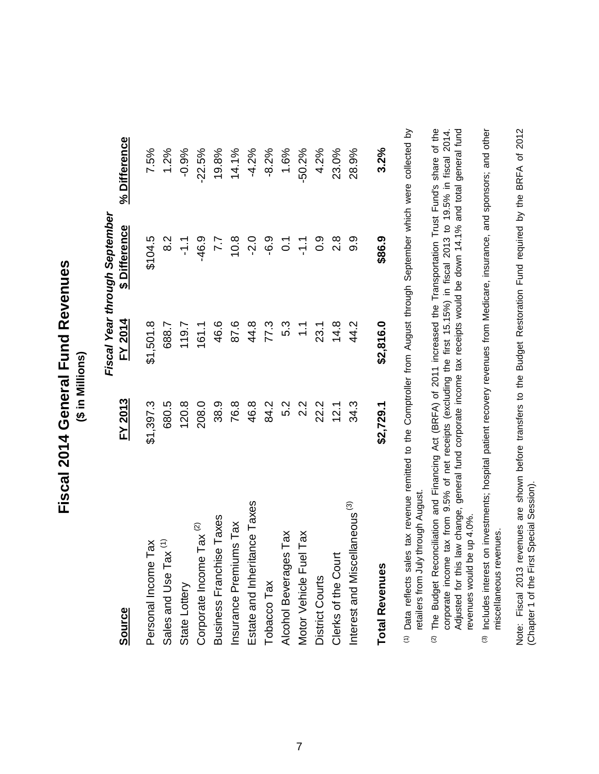Fiscal 2014 General Fund Revenues **Fiscal 2014 General Fund Revenues** (\$ in Millions) **(\$ in Millions)**

|                                           |                  |                | Fiscal Year through September |              |
|-------------------------------------------|------------------|----------------|-------------------------------|--------------|
| <b>Source</b>                             | <b>FY 2013</b>   | <b>FY 2014</b> | \$ Difference                 | % Difference |
| ă<br>Personal Income T                    | \$1,397.3        | \$1,501.8      | \$104.5                       | 7.5%         |
| Sales and Use Tax <sup>(1)</sup>          | 680.5            | 688.7          | 8.2                           | 1.2%         |
| State Lottery                             | 120.8            | 119.7          | $-1.7$                        | $-0.9%$      |
| Tax $(2)$<br>Corporate Income             | 208.0            | 161.1          | $-46.9$                       | $-22.5%$     |
| Business Franchise Taxes                  | 38.9             | 46.6           | 7.7                           | 19.8%        |
| Insurance Premiums Tax                    | 76.8             | 87.6           | 10.8                          | 14.1%        |
| Estate and Inheritance Taxes              | 46.8             | 44.8           | $-2.0$                        | $-4.2%$      |
| Tobacco Tax                               | 84.2             | 77.3           | $-6.9$                        | $-8.2%$      |
| Tax<br><b>Alcohol Beverages</b>           | 5.2              | 5.3            | $\overline{O}$                | 1.6%         |
| Tax<br>Motor Vehicle Fuel                 | $2.\overline{2}$ | $\sum$         | $\frac{1}{2}$                 | $-50.2%$     |
| District Courts                           | 22.2             | 23.1           | 0.9                           | 4.2%         |
| Clerks of the Court                       | 12.1             | 14.8           | $2.\overline{8}$              | 23.0%        |
| Interest and Miscellaneous <sup>(3)</sup> | 34.3             | 44.2           | თ<br>თ                        | 28.9%        |
| <b>Total Revenues</b>                     | \$2,729.1        | \$2,816.0      | \$86.9                        | 3.2%         |

(1) Data reflects sales tax revenue remitted to the Comptroller from August through September which were collected by tax revenue remitted to the Comptroller from August through September which were collected by retailers from July through August. retailers from July through August. Data reflects sales

(2) The Budget Reconciliation and Financing Act (BRFA) of 2011 increased the Transportation Trust Fund's share of the Adjusted for this law change, general fund corporate income tax receipts would be down 14.1% and total general fund corporate income tax from 9.5% of net receipts (excluding the first 15.15%) in fiscal 2013 to 19.5% in fiscal 2014. The Budget Reconciliation and Financing Act (BRFA) of 2011 increased the Transportation Trust Fund's share of the corporate income tax from 9.5% of net receipts (excluding the first 15.15%) in fiscal 2013 to 19.5% in fiscal 2014. Adjusted for this law change, general fund corporate income tax receipts would be down 14.1% and total general fund revenues would be up 4.0%. revenues would be up 4.0%.

(3) Includes interest on investments; hospital patient recovery revenues from Medicare, insurance, and sponsors; and other Includes interest on investments; hospital patient recovery revenues from Medicare, insurance, and sponsors; and other miscellaneous revenues. miscellaneous revenues. Note: Fiscal 2013 revenues are shown before transfers to the Budget Restoration Fund required by the BRFA of 2012 Note: Fiscal 2013 revenues are shown before transfers to the Budget Restoration Fund required by the BRFA of 2012 (Chapter 1 of the First Special Session). (Chapter 1 of the First Special Session).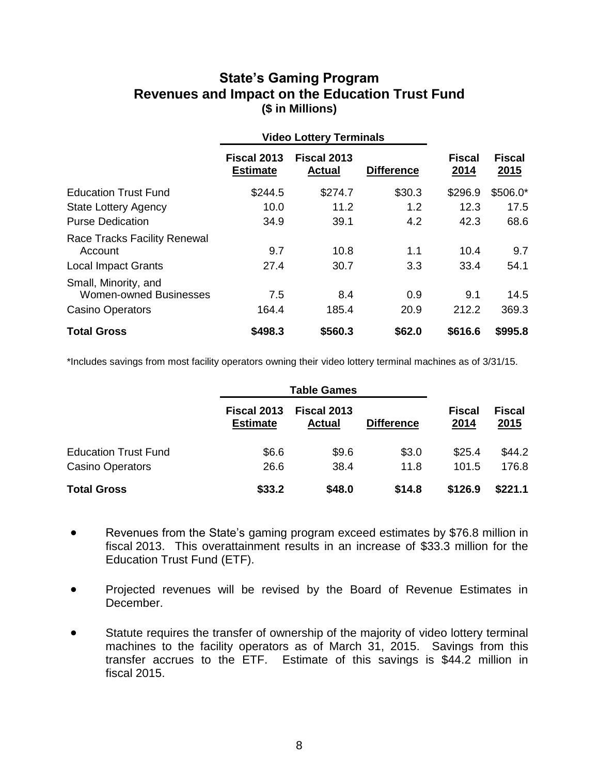#### **State's Gaming Program Revenues and Impact on the Education Trust Fund (\$ in Millions)**

|                                                                                  |                                | <b>Video Lottery Terminals</b> |                   |                       |                              |
|----------------------------------------------------------------------------------|--------------------------------|--------------------------------|-------------------|-----------------------|------------------------------|
|                                                                                  | Fiscal 2013<br><b>Estimate</b> | Fiscal 2013<br><b>Actual</b>   | <b>Difference</b> | <b>Fiscal</b><br>2014 | <b>Fiscal</b><br><u>2015</u> |
| <b>Education Trust Fund</b>                                                      | \$244.5                        | \$274.7                        | \$30.3            | \$296.9               | $$506.0*$                    |
| <b>State Lottery Agency</b>                                                      | 10.0                           | 11.2                           | 1.2               | 12.3                  | 17.5                         |
| <b>Purse Dedication</b>                                                          | 34.9                           | 39.1                           | 4.2               | 42.3                  | 68.6                         |
| <b>Race Tracks Facility Renewal</b><br>Account                                   | 9.7                            | 10.8                           | 1.1               | 10.4                  | 9.7                          |
| <b>Local Impact Grants</b>                                                       | 27.4                           | 30.7                           | 3.3               | 33.4                  | 54.1                         |
| Small, Minority, and<br><b>Women-owned Businesses</b><br><b>Casino Operators</b> | 7.5<br>164.4                   | 8.4<br>185.4                   | 0.9<br>20.9       | 9.1<br>212.2          | 14.5<br>369.3                |
| <b>Total Gross</b>                                                               | \$498.3                        | \$560.3                        | \$62.0            | \$616.6               | \$995.8                      |

\*Includes savings from most facility operators owning their video lottery terminal machines as of 3/31/15.

|                             |                                | <b>Table Games</b>           |                   |                       |                       |
|-----------------------------|--------------------------------|------------------------------|-------------------|-----------------------|-----------------------|
|                             | Fiscal 2013<br><b>Estimate</b> | Fiscal 2013<br><b>Actual</b> | <b>Difference</b> | <b>Fiscal</b><br>2014 | <b>Fiscal</b><br>2015 |
| <b>Education Trust Fund</b> | \$6.6                          | \$9.6                        | \$3.0             | \$25.4                | \$44.2                |
| <b>Casino Operators</b>     | 26.6                           | 38.4                         | 11.8              | 101.5                 | 176.8                 |
| <b>Total Gross</b>          | \$33.2                         | \$48.0                       | \$14.8            | \$126.9               | \$221.1               |

- Revenues from the State's gaming program exceed estimates by \$76.8 million in fiscal 2013. This overattainment results in an increase of \$33.3 million for the Education Trust Fund (ETF).
- Projected revenues will be revised by the Board of Revenue Estimates in December.
- Statute requires the transfer of ownership of the majority of video lottery terminal machines to the facility operators as of March 31, 2015. Savings from this transfer accrues to the ETF. Estimate of this savings is \$44.2 million in fiscal 2015.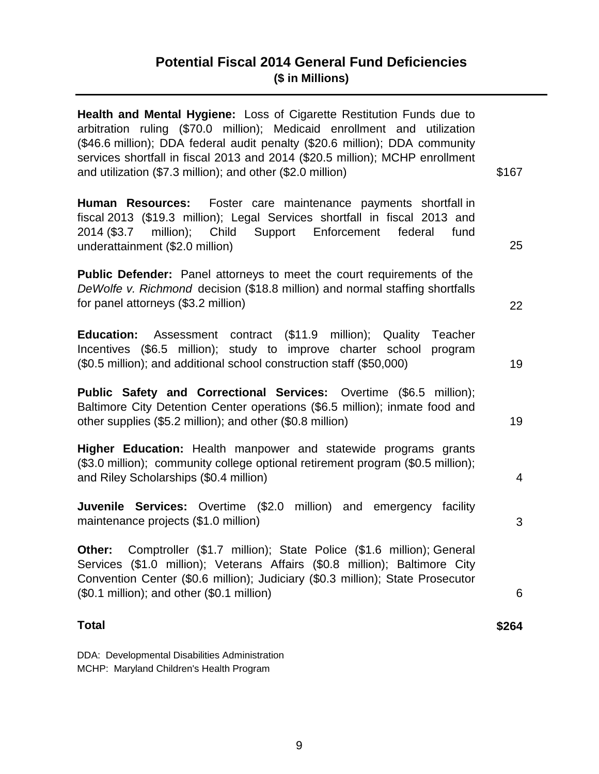#### **Potential Fiscal 2014 General Fund Deficiencies (\$ in Millions)**

| Health and Mental Hygiene: Loss of Cigarette Restitution Funds due to<br>arbitration ruling (\$70.0 million); Medicaid enrollment and utilization<br>(\$46.6 million); DDA federal audit penalty (\$20.6 million); DDA community<br>services shortfall in fiscal 2013 and 2014 (\$20.5 million); MCHP enrollment |                |
|------------------------------------------------------------------------------------------------------------------------------------------------------------------------------------------------------------------------------------------------------------------------------------------------------------------|----------------|
| and utilization (\$7.3 million); and other (\$2.0 million)                                                                                                                                                                                                                                                       | \$167          |
| Human Resources: Foster care maintenance payments shortfall in<br>fiscal 2013 (\$19.3 million); Legal Services shortfall in fiscal 2013 and<br>million);<br>Child<br>Support Enforcement<br>2014 (\$3.7<br>federal<br>fund<br>underattainment (\$2.0 million)                                                    | 25             |
| <b>Public Defender:</b> Panel attorneys to meet the court requirements of the<br>DeWolfe v. Richmond decision (\$18.8 million) and normal staffing shortfalls<br>for panel attorneys (\$3.2 million)                                                                                                             | 22             |
| Assessment contract (\$11.9 million); Quality Teacher<br><b>Education:</b><br>Incentives (\$6.5 million); study to improve charter school program<br>(\$0.5 million); and additional school construction staff (\$50,000)                                                                                        | 19             |
| <b>Public Safety and Correctional Services:</b> Overtime (\$6.5 million);<br>Baltimore City Detention Center operations (\$6.5 million); inmate food and<br>other supplies (\$5.2 million); and other (\$0.8 million)                                                                                            | 19             |
| Higher Education: Health manpower and statewide programs grants<br>(\$3.0 million); community college optional retirement program (\$0.5 million);<br>and Riley Scholarships (\$0.4 million)                                                                                                                     | $\overline{4}$ |
| <b>Juvenile Services:</b> Overtime (\$2.0 million) and emergency facility<br>maintenance projects (\$1.0 million)                                                                                                                                                                                                | 3              |
| Comptroller (\$1.7 million); State Police (\$1.6 million); General<br>Other:<br>Services (\$1.0 million); Veterans Affairs (\$0.8 million); Baltimore City<br>Convention Center (\$0.6 million); Judiciary (\$0.3 million); State Prosecutor<br>(\$0.1 million); and other (\$0.1 million)                       | 6              |
| <b>Total</b>                                                                                                                                                                                                                                                                                                     | \$264          |

DDA: Developmental Disabilities Administration MCHP: Maryland Children's Health Program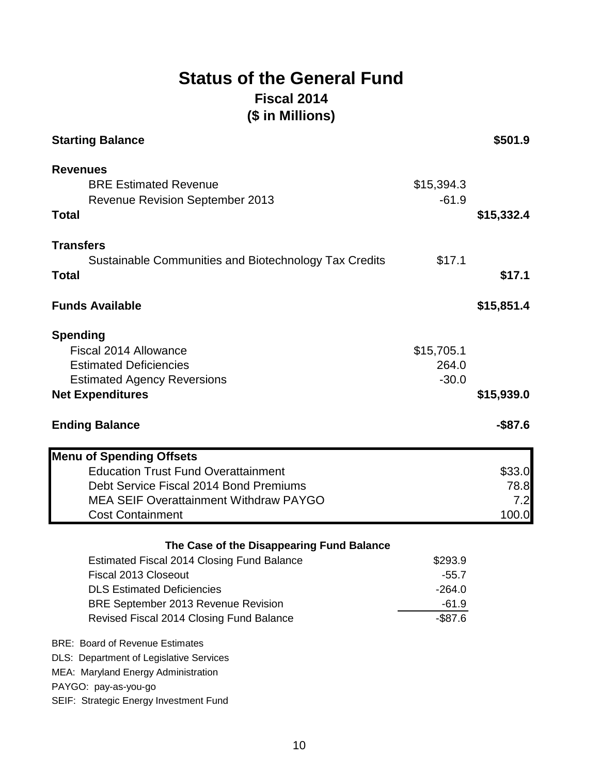#### **Status of the General Fund Fiscal 2014 (\$ in Millions)**

| <b>Starting Balance</b>                                                                                                                                                                                  |                                                         | \$501.9                        |
|----------------------------------------------------------------------------------------------------------------------------------------------------------------------------------------------------------|---------------------------------------------------------|--------------------------------|
| <b>Revenues</b><br><b>BRE Estimated Revenue</b><br><b>Revenue Revision September 2013</b><br><b>Total</b>                                                                                                | \$15,394.3<br>$-61.9$                                   | \$15,332.4                     |
| <b>Transfers</b><br>Sustainable Communities and Biotechnology Tax Credits<br><b>Total</b>                                                                                                                | \$17.1                                                  | \$17.1                         |
| <b>Funds Available</b>                                                                                                                                                                                   |                                                         | \$15,851.4                     |
| <b>Spending</b><br>Fiscal 2014 Allowance<br><b>Estimated Deficiencies</b><br><b>Estimated Agency Reversions</b><br><b>Net Expenditures</b>                                                               | \$15,705.1<br>264.0<br>$-30.0$                          | \$15,939.0                     |
| <b>Ending Balance</b>                                                                                                                                                                                    |                                                         | $-$ \$87.6                     |
| <b>Menu of Spending Offsets</b><br><b>Education Trust Fund Overattainment</b><br>Debt Service Fiscal 2014 Bond Premiums<br><b>MEA SEIF Overattainment Withdraw PAYGO</b><br><b>Cost Containment</b>      |                                                         | \$33.0<br>78.8<br>7.2<br>100.0 |
| The Case of the Disappearing Fund Balance                                                                                                                                                                |                                                         |                                |
|                                                                                                                                                                                                          |                                                         |                                |
| <b>Estimated Fiscal 2014 Closing Fund Balance</b><br>Fiscal 2013 Closeout<br><b>DLS Estimated Deficiencies</b><br><b>BRE September 2013 Revenue Revision</b><br>Revised Fiscal 2014 Closing Fund Balance | \$293.9<br>$-55.7$<br>$-264.0$<br>$-61.9$<br>$-$ \$87.6 |                                |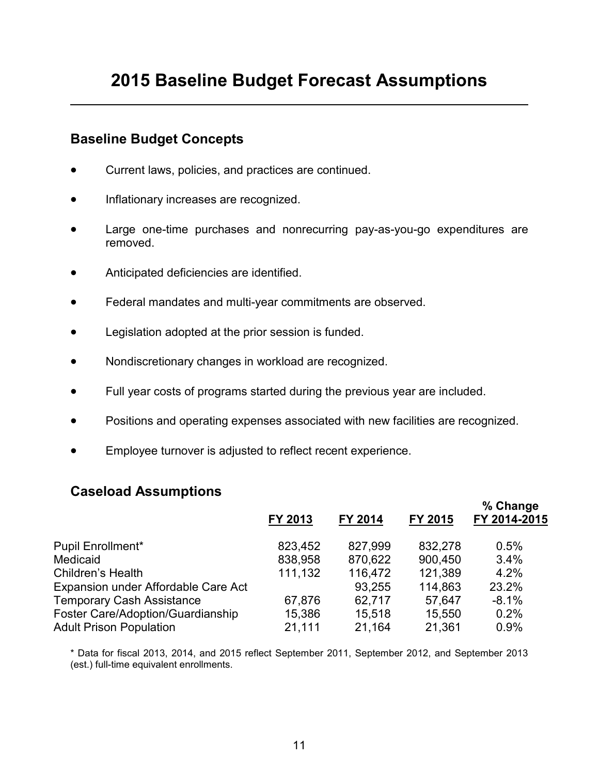#### **Baseline Budget Concepts**

- Current laws, policies, and practices are continued.
- Inflationary increases are recognized.
- Large one-time purchases and nonrecurring pay-as-you-go expenditures are removed.
- Anticipated deficiencies are identified.
- Federal mandates and multi-year commitments are observed.
- Legislation adopted at the prior session is funded.
- Nondiscretionary changes in workload are recognized.
- Full year costs of programs started during the previous year are included.
- Positions and operating expenses associated with new facilities are recognized.
- Employee turnover is adjusted to reflect recent experience.

#### **Caseload Assumptions**

|                                            | FY 2013 | FY 2014 | FY 2015 | % Change<br>FY 2014-2015 |
|--------------------------------------------|---------|---------|---------|--------------------------|
| Pupil Enrollment*                          | 823,452 | 827,999 | 832,278 | 0.5%                     |
| Medicaid                                   | 838,958 | 870,622 | 900,450 | 3.4%                     |
| Children's Health                          | 111,132 | 116,472 | 121,389 | 4.2%                     |
| <b>Expansion under Affordable Care Act</b> |         | 93,255  | 114,863 | 23.2%                    |
| <b>Temporary Cash Assistance</b>           | 67,876  | 62,717  | 57,647  | $-8.1%$                  |
| <b>Foster Care/Adoption/Guardianship</b>   | 15,386  | 15,518  | 15,550  | 0.2%                     |
| <b>Adult Prison Population</b>             | 21,111  | 21,164  | 21,361  | 0.9%                     |
|                                            |         |         |         |                          |

\* Data for fiscal 2013, 2014, and 2015 reflect September 2011, September 2012, and September 2013 (est.) full-time equivalent enrollments.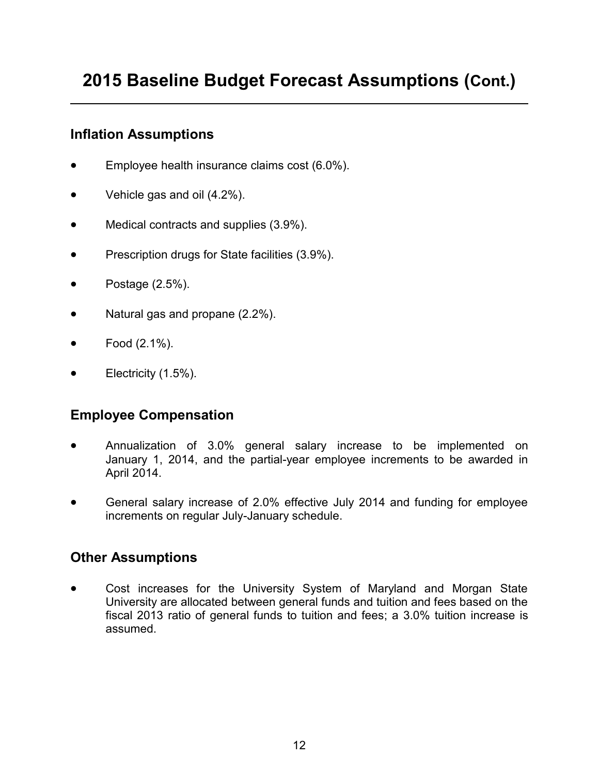#### **2015 Baseline Budget Forecast Assumptions (Cont.)**

#### **Inflation Assumptions**

- **Employee health insurance claims cost (6.0%).**
- Vehicle gas and oil (4.2%).
- Medical contracts and supplies (3.9%).
- Prescription drugs for State facilities (3.9%).
- Postage  $(2.5\%)$ .
- Natural gas and propane (2.2%).
- Food (2.1%).
- Electricity (1.5%).

#### **Employee Compensation**

- Annualization of 3.0% general salary increase to be implemented on January 1, 2014, and the partial-year employee increments to be awarded in April 2014.
- General salary increase of 2.0% effective July 2014 and funding for employee increments on regular July-January schedule.

#### **Other Assumptions**

 Cost increases for the University System of Maryland and Morgan State University are allocated between general funds and tuition and fees based on the fiscal 2013 ratio of general funds to tuition and fees; a 3.0% tuition increase is assumed.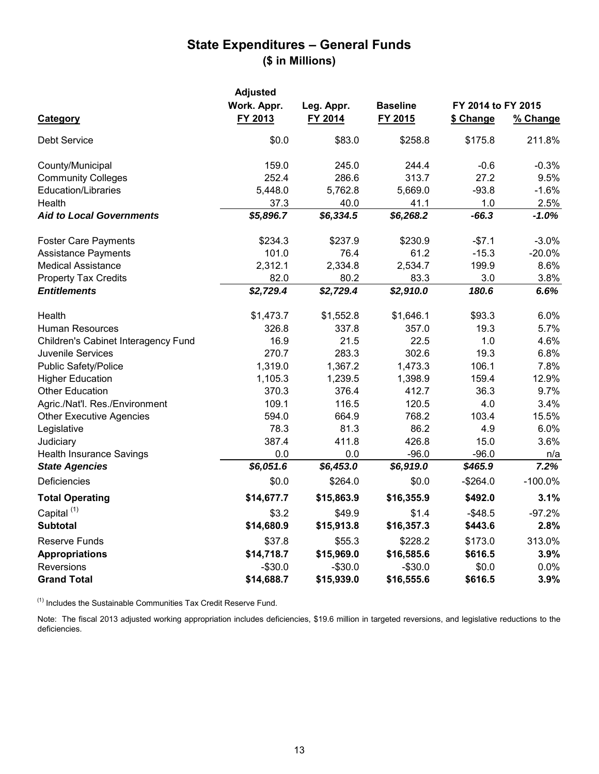#### **State Expenditures – General Funds (\$ in Millions)**

|                                            | <b>Adjusted</b><br>Work. Appr. | Leg. Appr. | <b>Baseline</b> | FY 2014 to FY 2015 |            |
|--------------------------------------------|--------------------------------|------------|-----------------|--------------------|------------|
| <b>Category</b>                            | FY 2013                        | FY 2014    | FY 2015         | \$ Change          | % Change   |
| <b>Debt Service</b>                        | \$0.0                          | \$83.0     | \$258.8         | \$175.8            | 211.8%     |
| County/Municipal                           | 159.0                          | 245.0      | 244.4           | $-0.6$             | $-0.3%$    |
| <b>Community Colleges</b>                  | 252.4                          | 286.6      | 313.7           | 27.2               | 9.5%       |
| <b>Education/Libraries</b>                 | 5,448.0                        | 5,762.8    | 5,669.0         | $-93.8$            | $-1.6%$    |
| Health                                     | 37.3                           | 40.0       | 41.1            | 1.0                | 2.5%       |
| <b>Aid to Local Governments</b>            | \$5,896.7                      | \$6,334.5  | \$6,268.2       | $-66.3$            | $-1.0\%$   |
| <b>Foster Care Payments</b>                | \$234.3                        | \$237.9    | \$230.9         | $-$7.1$            | $-3.0%$    |
| <b>Assistance Payments</b>                 | 101.0                          | 76.4       | 61.2            | $-15.3$            | $-20.0%$   |
| <b>Medical Assistance</b>                  | 2,312.1                        | 2,334.8    | 2,534.7         | 199.9              | 8.6%       |
| <b>Property Tax Credits</b>                | 82.0                           | 80.2       | 83.3            | 3.0                | 3.8%       |
| <b>Entitlements</b>                        | \$2,729.4                      | \$2,729.4  | \$2,910.0       | 180.6              | 6.6%       |
| Health                                     | \$1,473.7                      | \$1,552.8  | \$1,646.1       | \$93.3             | 6.0%       |
| <b>Human Resources</b>                     | 326.8                          | 337.8      | 357.0           | 19.3               | 5.7%       |
| <b>Children's Cabinet Interagency Fund</b> | 16.9                           | 21.5       | 22.5            | 1.0                | 4.6%       |
| <b>Juvenile Services</b>                   | 270.7                          | 283.3      | 302.6           | 19.3               | 6.8%       |
| <b>Public Safety/Police</b>                | 1,319.0                        | 1,367.2    | 1,473.3         | 106.1              | 7.8%       |
| <b>Higher Education</b>                    | 1,105.3                        | 1,239.5    | 1,398.9         | 159.4              | 12.9%      |
| <b>Other Education</b>                     | 370.3                          | 376.4      | 412.7           | 36.3               | 9.7%       |
| Agric./Nat'l. Res./Environment             | 109.1                          | 116.5      | 120.5           | 4.0                | 3.4%       |
| <b>Other Executive Agencies</b>            | 594.0                          | 664.9      | 768.2           | 103.4              | 15.5%      |
| Legislative                                | 78.3                           | 81.3       | 86.2            | 4.9                | 6.0%       |
| Judiciary                                  | 387.4                          | 411.8      | 426.8           | 15.0               | 3.6%       |
| <b>Health Insurance Savings</b>            | 0.0                            | 0.0        | $-96.0$         | $-96.0$            | n/a        |
| <b>State Agencies</b>                      | \$6,051.6                      | \$6,453.0  | \$6,919.0       | \$465.9            | 7.2%       |
| <b>Deficiencies</b>                        | \$0.0                          | \$264.0    | \$0.0           | $-$264.0$          | $-100.0\%$ |
| <b>Total Operating</b>                     | \$14,677.7                     | \$15,863.9 | \$16,355.9      | \$492.0            | 3.1%       |
| Capital <sup>(1)</sup>                     | \$3.2                          | \$49.9     | \$1.4           | $-$ \$48.5         | $-97.2%$   |
| <b>Subtotal</b>                            | \$14,680.9                     | \$15,913.8 | \$16,357.3      | \$443.6            | 2.8%       |
| <b>Reserve Funds</b>                       | \$37.8                         | \$55.3     | \$228.2         | \$173.0            | 313.0%     |
| <b>Appropriations</b>                      | \$14,718.7                     | \$15,969.0 | \$16,585.6      | \$616.5            | 3.9%       |
| <b>Reversions</b>                          | $-$ \$30.0                     | $-$30.0$   | $-$30.0$        | \$0.0              | $0.0\%$    |
| <b>Grand Total</b>                         | \$14,688.7                     | \$15,939.0 | \$16,555.6      | \$616.5            | 3.9%       |

 $(1)$  Includes the Sustainable Communities Tax Credit Reserve Fund.

Note: The fiscal 2013 adjusted working appropriation includes deficiencies, \$19.6 million in targeted reversions, and legislative reductions to the deficiencies.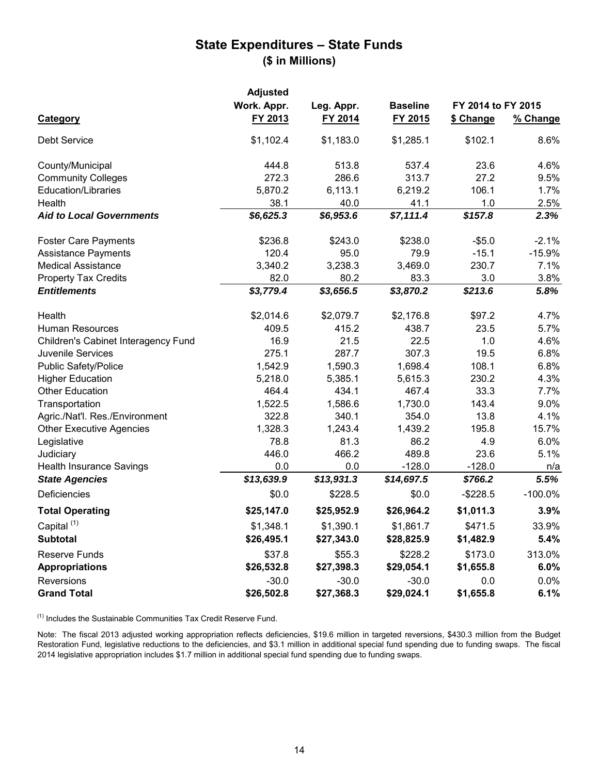#### **State Expenditures – State Funds (\$ in Millions)**

|                                            | <b>Adjusted</b> |            |                 |                    |            |
|--------------------------------------------|-----------------|------------|-----------------|--------------------|------------|
|                                            | Work. Appr.     | Leg. Appr. | <b>Baseline</b> | FY 2014 to FY 2015 |            |
| <b>Category</b>                            | FY 2013         | FY 2014    | FY 2015         | \$ Change          | % Change   |
| <b>Debt Service</b>                        | \$1,102.4       | \$1,183.0  | \$1,285.1       | \$102.1            | 8.6%       |
| County/Municipal                           | 444.8           | 513.8      | 537.4           | 23.6               | 4.6%       |
| <b>Community Colleges</b>                  | 272.3           | 286.6      | 313.7           | 27.2               | 9.5%       |
| <b>Education/Libraries</b>                 | 5,870.2         | 6,113.1    | 6,219.2         | 106.1              | 1.7%       |
| Health                                     | 38.1            | 40.0       | 41.1            | 1.0                | 2.5%       |
| <b>Aid to Local Governments</b>            | \$6,625.3       | \$6,953.6  | \$7,111.4       | \$157.8            | 2.3%       |
| <b>Foster Care Payments</b>                | \$236.8         | \$243.0    | \$238.0         | $-$ \$5.0          | $-2.1%$    |
| <b>Assistance Payments</b>                 | 120.4           | 95.0       | 79.9            | $-15.1$            | $-15.9%$   |
| <b>Medical Assistance</b>                  | 3,340.2         | 3,238.3    | 3,469.0         | 230.7              | 7.1%       |
| <b>Property Tax Credits</b>                | 82.0            | 80.2       | 83.3            | 3.0                | 3.8%       |
| <b>Entitlements</b>                        | \$3,779.4       | \$3,656.5  | \$3,870.2       | \$213.6            | 5.8%       |
| Health                                     | \$2,014.6       | \$2,079.7  | \$2,176.8       | \$97.2             | 4.7%       |
| <b>Human Resources</b>                     | 409.5           | 415.2      | 438.7           | 23.5               | 5.7%       |
| <b>Children's Cabinet Interagency Fund</b> | 16.9            | 21.5       | 22.5            | 1.0                | 4.6%       |
| <b>Juvenile Services</b>                   | 275.1           | 287.7      | 307.3           | 19.5               | 6.8%       |
| <b>Public Safety/Police</b>                | 1,542.9         | 1,590.3    | 1,698.4         | 108.1              | 6.8%       |
| <b>Higher Education</b>                    | 5,218.0         | 5,385.1    | 5,615.3         | 230.2              | 4.3%       |
| <b>Other Education</b>                     | 464.4           | 434.1      | 467.4           | 33.3               | 7.7%       |
| Transportation                             | 1,522.5         | 1,586.6    | 1,730.0         | 143.4              | 9.0%       |
| Agric./Nat'l. Res./Environment             | 322.8           | 340.1      | 354.0           | 13.8               | 4.1%       |
| <b>Other Executive Agencies</b>            | 1,328.3         | 1,243.4    | 1,439.2         | 195.8              | 15.7%      |
| Legislative                                | 78.8            | 81.3       | 86.2            | 4.9                | 6.0%       |
| Judiciary                                  | 446.0           | 466.2      | 489.8           | 23.6               | 5.1%       |
| <b>Health Insurance Savings</b>            | 0.0             | 0.0        | $-128.0$        | $-128.0$           | n/a        |
| <b>State Agencies</b>                      | \$13,639.9      | \$13,931.3 | \$14,697.5      | \$766.2            | 5.5%       |
| Deficiencies                               | \$0.0           | \$228.5    | \$0.0           | $-$ \$228.5        | $-100.0\%$ |
| <b>Total Operating</b>                     | \$25,147.0      | \$25,952.9 | \$26,964.2      | \$1,011.3          | 3.9%       |
| Capital <sup>(1)</sup>                     | \$1,348.1       | \$1,390.1  | \$1,861.7       | \$471.5            | 33.9%      |
| <b>Subtotal</b>                            | \$26,495.1      | \$27,343.0 | \$28,825.9      | \$1,482.9          | 5.4%       |
| <b>Reserve Funds</b>                       | \$37.8          | \$55.3     | \$228.2         | \$173.0            | 313.0%     |
| <b>Appropriations</b>                      | \$26,532.8      | \$27,398.3 | \$29,054.1      | \$1,655.8          | 6.0%       |
| <b>Reversions</b>                          | $-30.0$         | $-30.0$    | $-30.0$         | 0.0                | $0.0\%$    |
| <b>Grand Total</b>                         | \$26,502.8      | \$27,368.3 | \$29,024.1      | \$1,655.8          | 6.1%       |

 $(1)$  Includes the Sustainable Communities Tax Credit Reserve Fund.

Note: The fiscal 2013 adjusted working appropriation reflects deficiencies, \$19.6 million in targeted reversions, \$430.3 million from the Budget Restoration Fund, legislative reductions to the deficiencies, and \$3.1 million in additional special fund spending due to funding swaps. The fiscal 2014 legislative appropriation includes \$1.7 million in additional special fund spending due to funding swaps.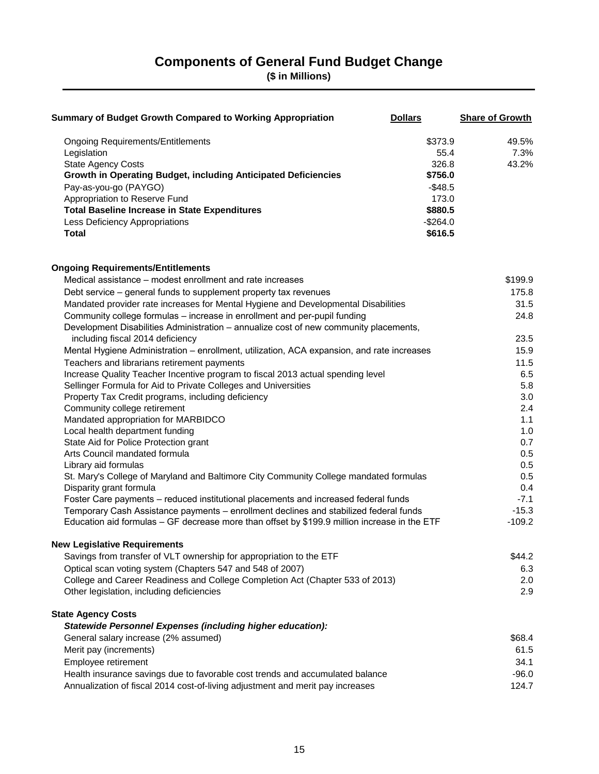#### **Components of General Fund Budget Change**

**(\$ in Millions)**

| <b>Summary of Budget Growth Compared to Working Appropriation</b>                              | <b>Dollars</b> | <b>Share of Growth</b> |
|------------------------------------------------------------------------------------------------|----------------|------------------------|
| <b>Ongoing Requirements/Entitlements</b>                                                       | \$373.9        | 49.5%                  |
| Legislation                                                                                    | 55.4           | 7.3%                   |
| <b>State Agency Costs</b>                                                                      | 326.8          | 43.2%                  |
| Growth in Operating Budget, including Anticipated Deficiencies                                 | \$756.0        |                        |
| Pay-as-you-go (PAYGO)                                                                          | $-$48.5$       |                        |
| Appropriation to Reserve Fund                                                                  | 173.0          |                        |
| <b>Total Baseline Increase in State Expenditures</b>                                           | \$880.5        |                        |
| <b>Less Deficiency Appropriations</b>                                                          | $-$264.0$      |                        |
| <b>Total</b>                                                                                   | \$616.5        |                        |
| <b>Ongoing Requirements/Entitlements</b>                                                       |                |                        |
| Medical assistance – modest enrollment and rate increases                                      |                | \$199.9                |
| Debt service – general funds to supplement property tax revenues                               |                | 175.8                  |
| Mandated provider rate increases for Mental Hygiene and Developmental Disabilities             |                | 31.5                   |
| Community college formulas - increase in enrollment and per-pupil funding                      |                | 24.8                   |
| Development Disabilities Administration - annualize cost of new community placements,          |                |                        |
| including fiscal 2014 deficiency                                                               |                | 23.5                   |
| Mental Hygiene Administration – enrollment, utilization, ACA expansion, and rate increases     |                | 15.9                   |
| Teachers and librarians retirement payments                                                    |                | 11.5                   |
| Increase Quality Teacher Incentive program to fiscal 2013 actual spending level                |                | 6.5                    |
| Sellinger Formula for Aid to Private Colleges and Universities                                 |                | 5.8                    |
| Property Tax Credit programs, including deficiency                                             |                | 3.0                    |
| Community college retirement                                                                   |                | 2.4                    |
| Mandated appropriation for MARBIDCO                                                            |                | 1.1                    |
| Local health department funding                                                                |                | 1.0                    |
| State Aid for Police Protection grant<br>Arts Council mandated formula                         |                | 0.7                    |
| Library aid formulas                                                                           |                | 0.5<br>0.5             |
| St. Mary's College of Maryland and Baltimore City Community College mandated formulas          |                | 0.5                    |
| Disparity grant formula                                                                        |                | 0.4                    |
| Foster Care payments – reduced institutional placements and increased federal funds            |                | $-7.1$                 |
| Temporary Cash Assistance payments – enrollment declines and stabilized federal funds          |                | $-15.3$                |
| Education aid formulas - GF decrease more than offset by \$199.9 million increase in the ETF   |                | $-109.2$               |
| <b>New Legislative Requirements</b>                                                            |                |                        |
| Savings from transfer of VLT ownership for appropriation to the ETF                            |                | \$44.2                 |
| Optical scan voting system (Chapters 547 and 548 of 2007)                                      |                | 6.3                    |
| College and Career Readiness and College Completion Act (Chapter 533 of 2013)                  |                | 2.0                    |
| Other legislation, including deficiencies                                                      |                | 2.9                    |
| <b>State Agency Costs</b><br><b>Statewide Personnel Expenses (including higher education):</b> |                |                        |
| General salary increase (2% assumed)                                                           |                | \$68.4                 |
| Merit pay (increments)                                                                         |                | 61.5                   |
| Employee retirement                                                                            |                | 34.1                   |
| Health insurance savings due to favorable cost trends and accumulated balance                  |                | $-96.0$                |
| Annualization of fiscal 2014 cost-of-living adjustment and merit pay increases                 |                | 124.7                  |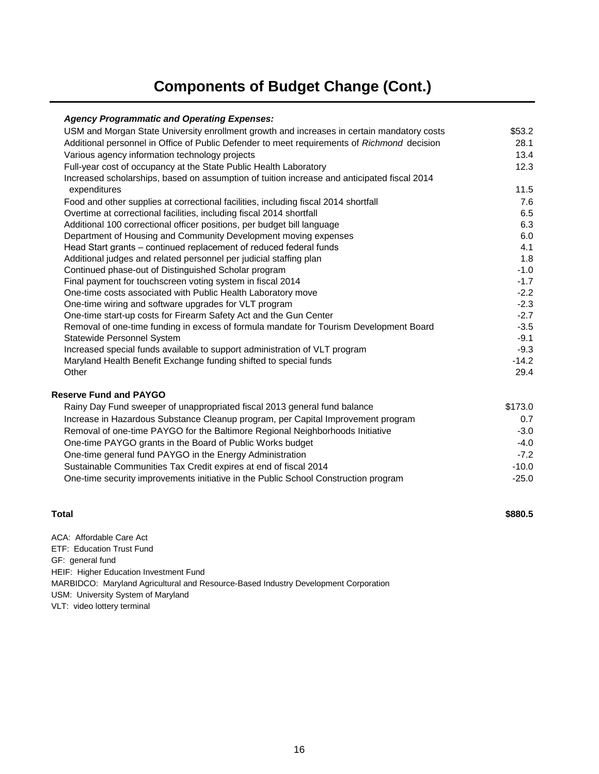#### **Components of Budget Change (Cont.)**

#### *Agency Programmatic and Operating Expenses:*

| USM and Morgan State University enrollment growth and increases in certain mandatory costs  | \$53.2  |
|---------------------------------------------------------------------------------------------|---------|
| Additional personnel in Office of Public Defender to meet requirements of Richmond decision | 28.1    |
| Various agency information technology projects                                              | 13.4    |
| Full-year cost of occupancy at the State Public Health Laboratory                           | 12.3    |
| Increased scholarships, based on assumption of tuition increase and anticipated fiscal 2014 |         |
| expenditures                                                                                | 11.5    |
| Food and other supplies at correctional facilities, including fiscal 2014 shortfall         | 7.6     |
| Overtime at correctional facilities, including fiscal 2014 shortfall                        | 6.5     |
| Additional 100 correctional officer positions, per budget bill language                     | 6.3     |
| Department of Housing and Community Development moving expenses                             | 6.0     |
| Head Start grants - continued replacement of reduced federal funds                          | 4.1     |
| Additional judges and related personnel per judicial staffing plan                          | 1.8     |
| Continued phase-out of Distinguished Scholar program                                        | $-1.0$  |
| Final payment for touchscreen voting system in fiscal 2014                                  | $-1.7$  |
| One-time costs associated with Public Health Laboratory move                                | $-2.2$  |
| One-time wiring and software upgrades for VLT program                                       | $-2.3$  |
| One-time start-up costs for Firearm Safety Act and the Gun Center                           | $-2.7$  |
| Removal of one-time funding in excess of formula mandate for Tourism Development Board      | $-3.5$  |
| <b>Statewide Personnel System</b>                                                           | $-9.1$  |
| Increased special funds available to support administration of VLT program                  | $-9.3$  |
| Maryland Health Benefit Exchange funding shifted to special funds                           | $-14.2$ |
| Other                                                                                       | 29.4    |
| <b>Reserve Fund and PAYGO</b>                                                               |         |
| Rainy Day Fund sweeper of unappropriated fiscal 2013 general fund balance                   | \$173.0 |
| Increase in Hazardous Substance Cleanup program, per Capital Improvement program            | 0.7     |
| Removal of one-time PAYGO for the Baltimore Regional Neighborhoods Initiative               | $-3.0$  |
| One-time PAYGO grants in the Board of Public Works budget                                   | $-4.0$  |
|                                                                                             |         |

| One-time general fund PAYGO in the Energy Administration                            | $-7.2$  |
|-------------------------------------------------------------------------------------|---------|
| Sustainable Communities Tax Credit expires at end of fiscal 2014                    | $-10.0$ |
| One-time security improvements initiative in the Public School Construction program | $-25.0$ |

#### **Total**

**\$880.5**

ACA: Affordable Care Act GF: general fund MARBIDCO: Maryland Agricultural and Resource-Based Industry Development Corporation USM: University System of Maryland VLT: video lottery terminal HEIF: Higher Education Investment Fund ETF: Education Trust Fund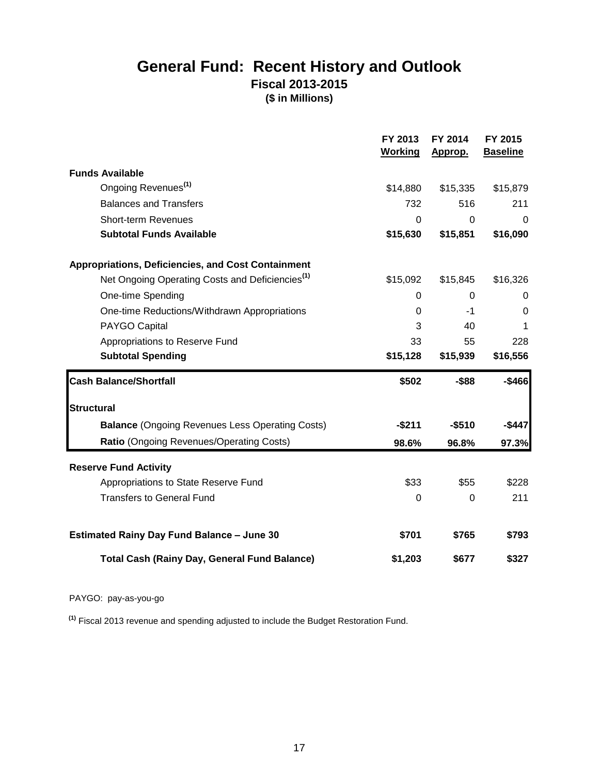#### **General Fund: Recent History and Outlook Fiscal 2013-2015 (\$ in Millions)**

|                                                             | FY 2013<br><b>Working</b> | FY 2014<br>Approp. | FY 2015<br><b>Baseline</b> |
|-------------------------------------------------------------|---------------------------|--------------------|----------------------------|
| <b>Funds Available</b>                                      |                           |                    |                            |
| Ongoing Revenues <sup>(1)</sup>                             | \$14,880                  | \$15,335           | \$15,879                   |
| <b>Balances and Transfers</b>                               | 732                       | 516                | 211                        |
| <b>Short-term Revenues</b>                                  | $\overline{0}$            | $\overline{0}$     | $\Omega$                   |
| <b>Subtotal Funds Available</b>                             | \$15,630                  | \$15,851           | \$16,090                   |
| <b>Appropriations, Deficiencies, and Cost Containment</b>   |                           |                    |                            |
| Net Ongoing Operating Costs and Deficiencies <sup>(1)</sup> | \$15,092                  | \$15,845           | \$16,326                   |
| <b>One-time Spending</b>                                    | $\mathbf 0$               | $\overline{0}$     | 0                          |
| One-time Reductions/Withdrawn Appropriations                | $\mathbf 0$               | $-1$               | $\mathbf 0$                |
| PAYGO Capital                                               | 3                         | 40                 | 1                          |
| Appropriations to Reserve Fund                              | 33                        | 55                 | 228                        |
| <b>Subtotal Spending</b>                                    | \$15,128                  | \$15,939           | \$16,556                   |
| <b>Cash Balance/Shortfall</b>                               | \$502                     | $-$ \$88           | $-$466$                    |
| <b>Structural</b>                                           |                           |                    |                            |
| <b>Balance (Ongoing Revenues Less Operating Costs)</b>      | $-$ \$211                 | $-$510$            | $-$447$                    |
| Ratio (Ongoing Revenues/Operating Costs)                    | 98.6%                     | 96.8%              | 97.3%                      |
| <b>Reserve Fund Activity</b>                                |                           |                    |                            |
| Appropriations to State Reserve Fund                        | \$33                      | \$55               | \$228                      |
| <b>Transfers to General Fund</b>                            | 0                         | $\mathbf 0$        | 211                        |
| <b>Estimated Rainy Day Fund Balance - June 30</b>           | \$701                     | \$765              | \$793                      |
| <b>Total Cash (Rainy Day, General Fund Balance)</b>         | \$1,203                   | \$677              | \$327                      |

#### PAYGO: pay-as-you-go

**(1)** Fiscal 2013 revenue and spending adjusted to include the Budget Restoration Fund.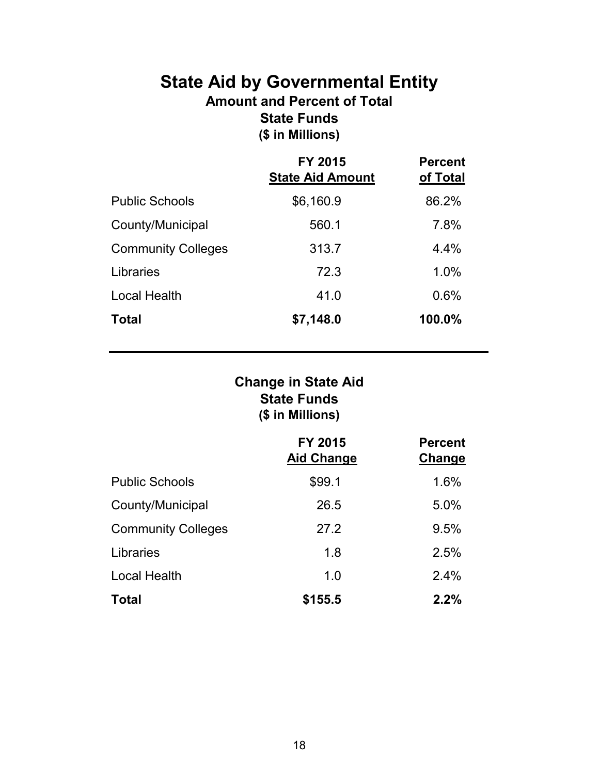#### **State Aid by Governmental Entity Amount and Percent of Total State Funds (\$ in Millions)**

|                           | <b>FY 2015</b><br><b>State Aid Amount</b> | <b>Percent</b><br>of Total |
|---------------------------|-------------------------------------------|----------------------------|
| <b>Public Schools</b>     | \$6,160.9                                 | 86.2%                      |
| County/Municipal          | 560.1                                     | 7.8%                       |
| <b>Community Colleges</b> | 313.7                                     | 4.4%                       |
| Libraries                 | 72.3                                      | 1.0%                       |
| <b>Local Health</b>       | 41.0                                      | 0.6%                       |
| <b>Total</b>              | \$7,148.0                                 | 100.0%                     |

#### **State Funds (\$ in Millions) Change in State Aid**

|                           | FY 2015<br><b>Aid Change</b> | <b>Percent</b><br>Change |
|---------------------------|------------------------------|--------------------------|
| <b>Public Schools</b>     | \$99.1                       | 1.6%                     |
| County/Municipal          | 26.5                         | 5.0%                     |
| <b>Community Colleges</b> | 27.2                         | 9.5%                     |
| Libraries                 | 1.8                          | 2.5%                     |
| <b>Local Health</b>       | 1.0                          | 2.4%                     |
| <b>Total</b>              | \$155.5                      | 2.2%                     |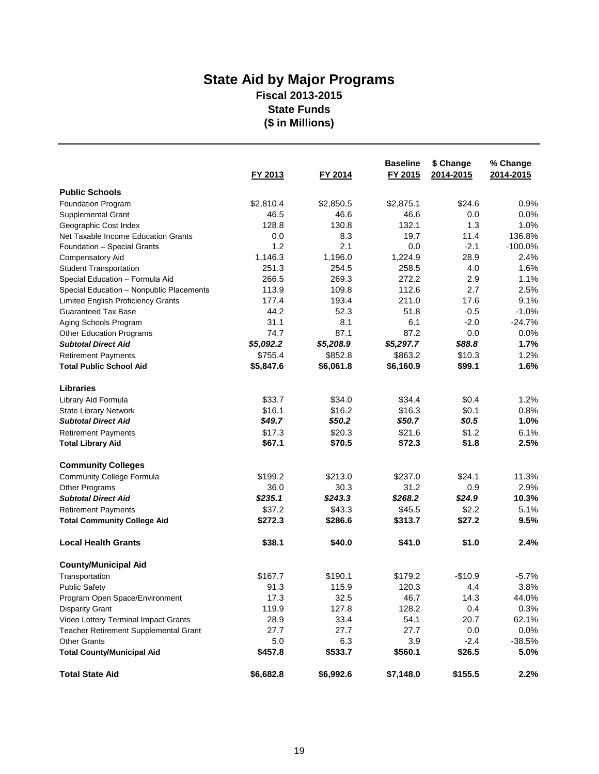#### **State Aid by Major Programs Fiscal 2013-2015 State Funds (\$ in Millions)**

|                                           |           |           | <b>Baseline</b> | \$ Change | % Change  |
|-------------------------------------------|-----------|-----------|-----------------|-----------|-----------|
|                                           | FY 2013   | FY 2014   | FY 2015         | 2014-2015 | 2014-2015 |
| <b>Public Schools</b>                     |           |           |                 |           |           |
| Foundation Program                        | \$2,810.4 | \$2,850.5 | \$2,875.1       | \$24.6    | 0.9%      |
| <b>Supplemental Grant</b>                 | 46.5      | 46.6      | 46.6            | 0.0       | 0.0%      |
| Geographic Cost Index                     | 128.8     | 130.8     | 132.1           | 1.3       | 1.0%      |
| Net Taxable Income Education Grants       | 0.0       | 8.3       | 19.7            | 11.4      | 136.8%    |
| Foundation - Special Grants               | 1.2       | 2.1       | 0.0             | $-2.1$    | $-100.0%$ |
| <b>Compensatory Aid</b>                   | 1,146.3   | 1,196.0   | 1,224.9         | 28.9      | 2.4%      |
| <b>Student Transportation</b>             | 251.3     | 254.5     | 258.5           | 4.0       | 1.6%      |
| Special Education - Formula Aid           | 266.5     | 269.3     | 272.2           | 2.9       | 1.1%      |
| Special Education - Nonpublic Placements  | 113.9     | 109.8     | 112.6           | 2.7       | 2.5%      |
| <b>Limited English Proficiency Grants</b> | 177.4     | 193.4     | 211.0           | 17.6      | 9.1%      |
| <b>Guaranteed Tax Base</b>                | 44.2      | 52.3      | 51.8            | $-0.5$    | $-1.0%$   |
| Aging Schools Program                     | 31.1      | 8.1       | 6.1             | $-2.0$    | $-24.7%$  |
| <b>Other Education Programs</b>           | 74.7      | 87.1      | 87.2            | 0.0       | 0.0%      |
| <b>Subtotal Direct Aid</b>                | \$5,092.2 | \$5,208.9 | \$5,297.7       | \$88.8    | 1.7%      |
| <b>Retirement Payments</b>                | \$755.4   | \$852.8   | \$863.2         | \$10.3    | 1.2%      |
| <b>Total Public School Aid</b>            | \$5,847.6 | \$6,061.8 | \$6,160.9       | \$99.1    | 1.6%      |
| <b>Libraries</b>                          |           |           |                 |           |           |
| Library Aid Formula                       | \$33.7    | \$34.0    | \$34.4          | \$0.4     | 1.2%      |
| <b>State Library Network</b>              | \$16.1    | \$16.2    | \$16.3          | \$0.1     | 0.8%      |
| <b>Subtotal Direct Aid</b>                | \$49.7    | \$50.2    | \$50.7          | \$0.5     | 1.0%      |
| <b>Retirement Payments</b>                | \$17.3    | \$20.3    | \$21.6          | \$1.2     | 6.1%      |
| <b>Total Library Aid</b>                  | \$67.1    | \$70.5    | \$72.3          | \$1.8     | 2.5%      |
| <b>Community Colleges</b>                 |           |           |                 |           |           |
| <b>Community College Formula</b>          | \$199.2   | \$213.0   | \$237.0         | \$24.1    | 11.3%     |
| Other Programs                            | 36.0      | 30.3      | 31.2            | 0.9       | 2.9%      |
| <b>Subtotal Direct Aid</b>                | \$235.1   | \$243.3   | \$268.2         | \$24.9    | 10.3%     |
| <b>Retirement Payments</b>                | \$37.2    | \$43.3    | \$45.5          | \$2.2     | 5.1%      |
| <b>Total Community College Aid</b>        | \$272.3   | \$286.6   | \$313.7         | \$27.2    | 9.5%      |
| <b>Local Health Grants</b>                | \$38.1    | \$40.0    | \$41.0          | \$1.0     | 2.4%      |
| <b>County/Municipal Aid</b>               |           |           |                 |           |           |
| Transportation                            | \$167.7   | \$190.1   | \$179.2         | $-$10.9$  | $-5.7%$   |
| <b>Public Safety</b>                      | 91.3      | 115.9     | 120.3           | 4.4       | 3.8%      |
| Program Open Space/Environment            | 17.3      | 32.5      | 46.7            | 14.3      | 44.0%     |
| <b>Disparity Grant</b>                    | 119.9     | 127.8     | 128.2           | 0.4       | 0.3%      |
| Video Lottery Terminal Impact Grants      | 28.9      | 33.4      | 54.1            | 20.7      | 62.1%     |
| Teacher Retirement Supplemental Grant     | 27.7      | 27.7      | 27.7            | 0.0       | 0.0%      |
| <b>Other Grants</b>                       | 5.0       | 6.3       | 3.9             | $-2.4$    | $-38.5%$  |
| <b>Total County/Municipal Aid</b>         | \$457.8   | \$533.7   | \$560.1         | \$26.5    | 5.0%      |
| <b>Total State Aid</b>                    | \$6,682.8 | \$6,992.6 | \$7,148.0       | \$155.5   | 2.2%      |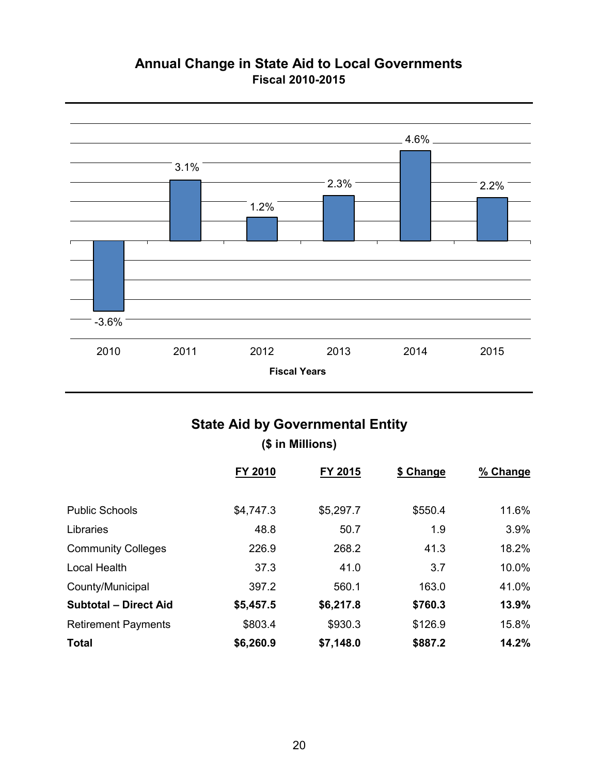#### **Annual Change in State Aid to Local Governments Fiscal 2010-2015**



#### **State Aid by Governmental Entity**

#### **(\$ in Millions)**

|                              | FY 2010   | FY 2015   | \$ Change | % Change |
|------------------------------|-----------|-----------|-----------|----------|
|                              |           |           |           |          |
| <b>Public Schools</b>        | \$4,747.3 | \$5,297.7 | \$550.4   | 11.6%    |
| Libraries                    | 48.8      | 50.7      | 1.9       | 3.9%     |
| <b>Community Colleges</b>    | 226.9     | 268.2     | 41.3      | 18.2%    |
| <b>Local Health</b>          | 37.3      | 41.0      | 3.7       | 10.0%    |
| County/Municipal             | 397.2     | 560.1     | 163.0     | 41.0%    |
| <b>Subtotal - Direct Aid</b> | \$5,457.5 | \$6,217.8 | \$760.3   | 13.9%    |
| <b>Retirement Payments</b>   | \$803.4   | \$930.3   | \$126.9   | 15.8%    |
| <b>Total</b>                 | \$6,260.9 | \$7,148.0 | \$887.2   | 14.2%    |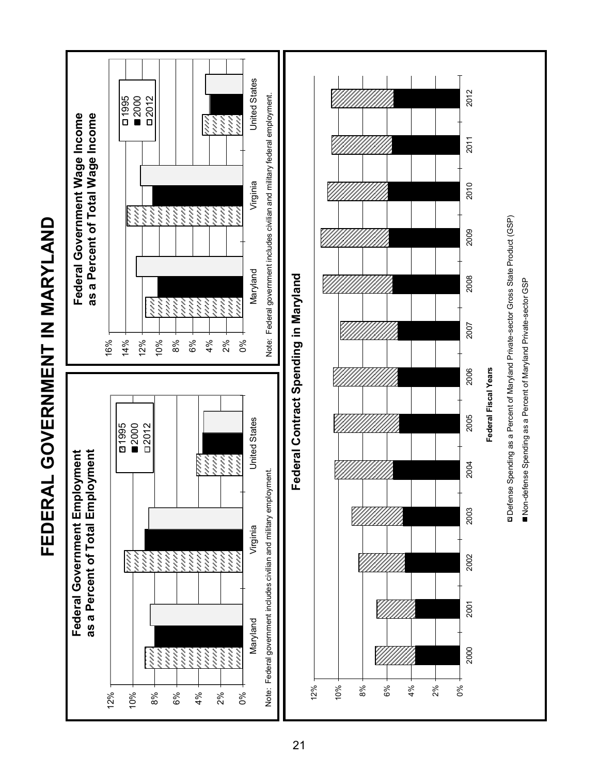

# **FEDERAL GOVERNMENT IN MARYLAND** FEDERAL GOVERNMENT IN MARYLAND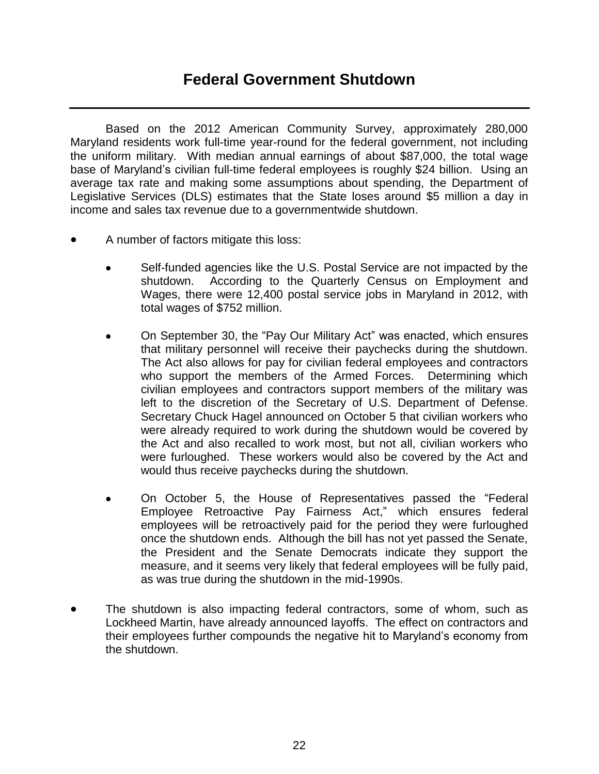#### **Federal Government Shutdown**

 Based on the 2012 American Community Survey, approximately 280,000 Maryland residents work full-time year-round for the federal government, not including the uniform military. With median annual earnings of about \$87,000, the total wage base of Maryland's civilian full-time federal employees is roughly \$24 billion. Using an average tax rate and making some assumptions about spending, the Department of Legislative Services (DLS) estimates that the State loses around \$5 million a day in income and sales tax revenue due to a governmentwide shutdown.

- A number of factors mitigate this loss:
	- Self-funded agencies like the U.S. Postal Service are not impacted by the shutdown. According to the Quarterly Census on Employment and Wages, there were 12,400 postal service jobs in Maryland in 2012, with total wages of \$752 million.
	- On September 30, the "Pay Our Military Act" was enacted, which ensures that military personnel will receive their paychecks during the shutdown. The Act also allows for pay for civilian federal employees and contractors who support the members of the Armed Forces. Determining which civilian employees and contractors support members of the military was left to the discretion of the Secretary of U.S. Department of Defense. Secretary Chuck Hagel announced on October 5 that civilian workers who were already required to work during the shutdown would be covered by the Act and also recalled to work most, but not all, civilian workers who were furloughed. These workers would also be covered by the Act and would thus receive paychecks during the shutdown.
	- On October 5, the House of Representatives passed the "Federal Employee Retroactive Pay Fairness Act," which ensures federal employees will be retroactively paid for the period they were furloughed once the shutdown ends. Although the bill has not yet passed the Senate, the President and the Senate Democrats indicate they support the measure, and it seems very likely that federal employees will be fully paid, as was true during the shutdown in the mid-1990s.
- The shutdown is also impacting federal contractors, some of whom, such as Lockheed Martin, have already announced layoffs. The effect on contractors and their employees further compounds the negative hit to Maryland's economy from the shutdown.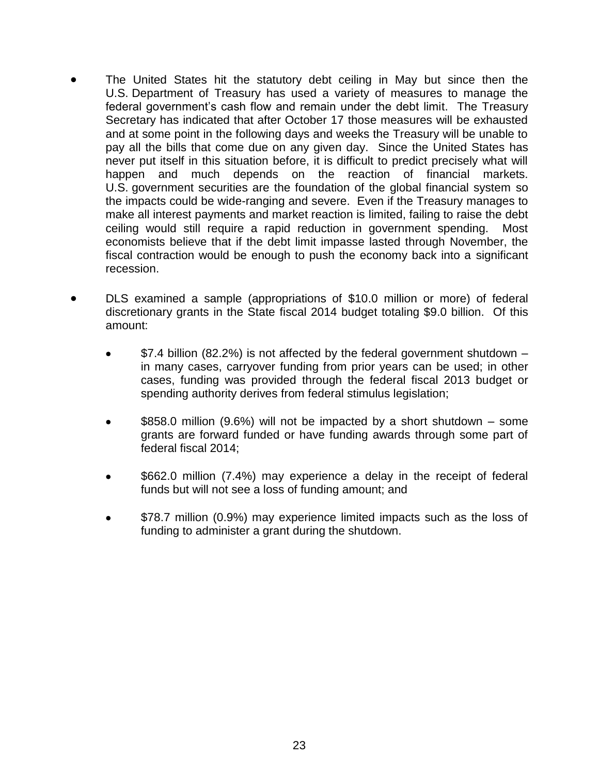- The United States hit the statutory debt ceiling in May but since then the U.S. Department of Treasury has used a variety of measures to manage the federal government's cash flow and remain under the debt limit. The Treasury Secretary has indicated that after October 17 those measures will be exhausted and at some point in the following days and weeks the Treasury will be unable to pay all the bills that come due on any given day. Since the United States has never put itself in this situation before, it is difficult to predict precisely what will happen and much depends on the reaction of financial markets. U.S. government securities are the foundation of the global financial system so the impacts could be wide-ranging and severe. Even if the Treasury manages to make all interest payments and market reaction is limited, failing to raise the debt ceiling would still require a rapid reduction in government spending. Most economists believe that if the debt limit impasse lasted through November, the fiscal contraction would be enough to push the economy back into a significant recession.
- DLS examined a sample (appropriations of \$10.0 million or more) of federal discretionary grants in the State fiscal 2014 budget totaling \$9.0 billion. Of this amount:
	- \$7.4 billion (82.2%) is not affected by the federal government shutdown in many cases, carryover funding from prior years can be used; in other cases, funding was provided through the federal fiscal 2013 budget or spending authority derives from federal stimulus legislation;
	- \$858.0 million (9.6%) will not be impacted by a short shutdown some grants are forward funded or have funding awards through some part of federal fiscal 2014;
	- \$662.0 million (7.4%) may experience a delay in the receipt of federal funds but will not see a loss of funding amount; and
	- \$78.7 million (0.9%) may experience limited impacts such as the loss of funding to administer a grant during the shutdown.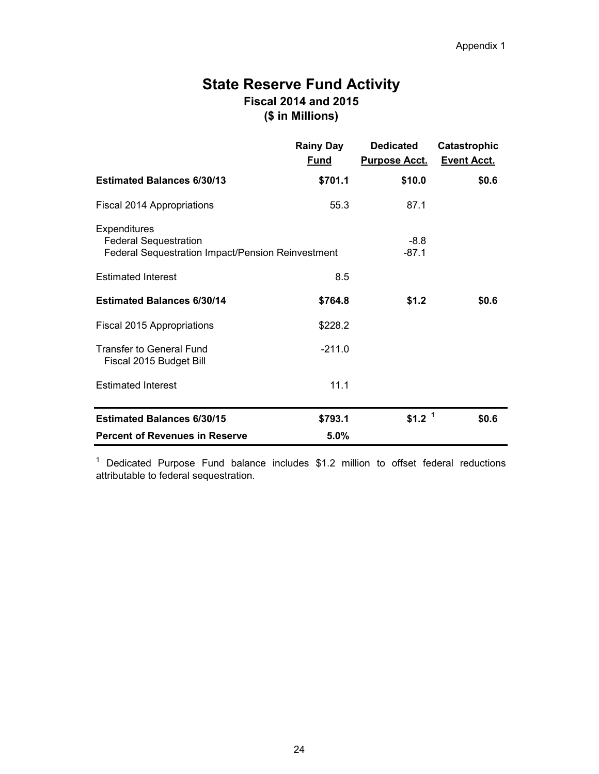#### **State Reserve Fund Activity Fiscal 2014 and 2015 (\$ in Millions)**

|                                                                                                                 | <b>Rainy Day</b><br><u>Fund</u> | <b>Dedicated</b><br><b>Purpose Acct.</b> | <b>Catastrophic</b><br><b>Event Acct.</b> |
|-----------------------------------------------------------------------------------------------------------------|---------------------------------|------------------------------------------|-------------------------------------------|
| <b>Estimated Balances 6/30/13</b>                                                                               | \$701.1                         | \$10.0                                   | \$0.6                                     |
| Fiscal 2014 Appropriations                                                                                      | 55.3                            | 87.1                                     |                                           |
| <b>Expenditures</b><br><b>Federal Sequestration</b><br><b>Federal Sequestration Impact/Pension Reinvestment</b> |                                 | $-8.8$<br>$-87.1$                        |                                           |
| <b>Estimated Interest</b>                                                                                       | 8.5                             |                                          |                                           |
| <b>Estimated Balances 6/30/14</b>                                                                               | \$764.8                         | \$1.2                                    | \$0.6                                     |
| Fiscal 2015 Appropriations                                                                                      | \$228.2                         |                                          |                                           |
| <b>Transfer to General Fund</b><br>Fiscal 2015 Budget Bill                                                      | $-211.0$                        |                                          |                                           |
| <b>Estimated Interest</b>                                                                                       | 11.1                            |                                          |                                           |
| <b>Estimated Balances 6/30/15</b>                                                                               | \$793.1                         | \$1.2 <sup>1</sup>                       | \$0.6                                     |
| <b>Percent of Revenues in Reserve</b>                                                                           | 5.0%                            |                                          |                                           |

 $1$  Dedicated Purpose Fund balance includes \$1.2 million to offset federal reductions attributable to federal sequestration.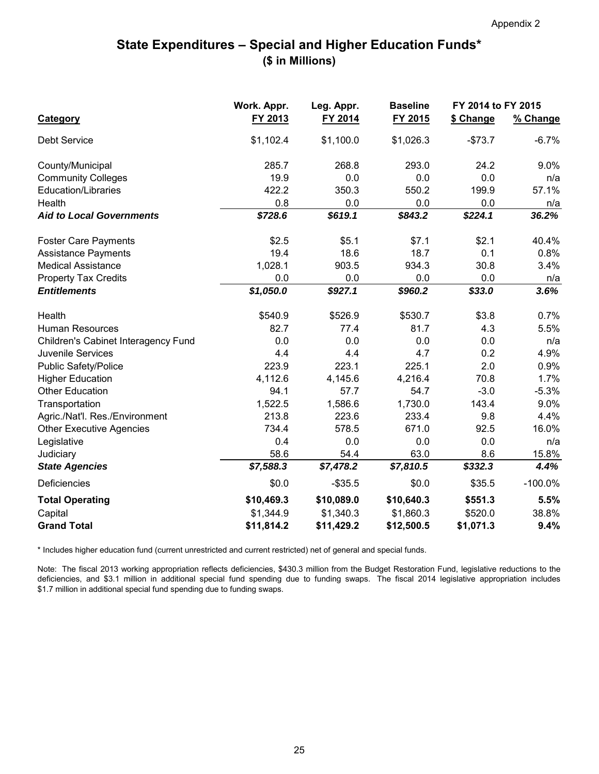#### **State Expenditures – Special and Higher Education Funds\* (\$ in Millions)**

|                                     | Work. Appr.<br>Leg. Appr. |            | <b>Baseline</b> | FY 2014 to FY 2015 |            |
|-------------------------------------|---------------------------|------------|-----------------|--------------------|------------|
| <b>Category</b>                     | FY 2013                   | FY 2014    | FY 2015         | \$ Change          | % Change   |
| <b>Debt Service</b>                 | \$1,102.4                 | \$1,100.0  | \$1,026.3       | $-$73.7$           | $-6.7%$    |
| County/Municipal                    | 285.7                     | 268.8      | 293.0           | 24.2               | 9.0%       |
| <b>Community Colleges</b>           | 19.9                      | 0.0        | 0.0             | 0.0                | n/a        |
| <b>Education/Libraries</b>          | 422.2                     | 350.3      | 550.2           | 199.9              | 57.1%      |
| Health                              | 0.8                       | 0.0        | 0.0             | 0.0                | n/a        |
| <b>Aid to Local Governments</b>     | \$728.6                   | \$619.1    | \$843.2         | \$224.1            | 36.2%      |
| <b>Foster Care Payments</b>         | \$2.5                     | \$5.1      | \$7.1           | \$2.1              | 40.4%      |
| <b>Assistance Payments</b>          | 19.4                      | 18.6       | 18.7            | 0.1                | 0.8%       |
| <b>Medical Assistance</b>           | 1,028.1                   | 903.5      | 934.3           | 30.8               | 3.4%       |
| <b>Property Tax Credits</b>         | 0.0                       | 0.0        | 0.0             | 0.0                | n/a        |
| <b>Entitlements</b>                 | \$1,050.0                 | \$927.1    | \$960.2         | \$33.0             | 3.6%       |
| Health                              | \$540.9                   | \$526.9    | \$530.7         | \$3.8              | 0.7%       |
| <b>Human Resources</b>              | 82.7                      | 77.4       | 81.7            | 4.3                | 5.5%       |
| Children's Cabinet Interagency Fund | 0.0                       | 0.0        | 0.0             | 0.0                | n/a        |
| <b>Juvenile Services</b>            | 4.4                       | 4.4        | 4.7             | 0.2                | 4.9%       |
| <b>Public Safety/Police</b>         | 223.9                     | 223.1      | 225.1           | 2.0                | 0.9%       |
| <b>Higher Education</b>             | 4,112.6                   | 4,145.6    | 4,216.4         | 70.8               | 1.7%       |
| <b>Other Education</b>              | 94.1                      | 57.7       | 54.7            | $-3.0$             | $-5.3%$    |
| Transportation                      | 1,522.5                   | 1,586.6    | 1,730.0         | 143.4              | 9.0%       |
| Agric./Nat'l. Res./Environment      | 213.8                     | 223.6      | 233.4           | 9.8                | 4.4%       |
| <b>Other Executive Agencies</b>     | 734.4                     | 578.5      | 671.0           | 92.5               | 16.0%      |
| Legislative                         | 0.4                       | 0.0        | 0.0             | 0.0                | n/a        |
| Judiciary                           | 58.6                      | 54.4       | 63.0            | 8.6                | 15.8%      |
| <b>State Agencies</b>               | \$7,588.3                 | \$7,478.2  | \$7,810.5       | \$332.3            | 4.4%       |
| <b>Deficiencies</b>                 | \$0.0                     | $-$ \$35.5 | \$0.0           | \$35.5             | $-100.0\%$ |
| <b>Total Operating</b>              | \$10,469.3                | \$10,089.0 | \$10,640.3      | \$551.3            | 5.5%       |
| Capital                             | \$1,344.9                 | \$1,340.3  | \$1,860.3       | \$520.0            | 38.8%      |
| <b>Grand Total</b>                  | \$11,814.2                | \$11,429.2 | \$12,500.5      | \$1,071.3          | 9.4%       |

\* Includes higher education fund (current unrestricted and current restricted) net of general and special funds.

Note: The fiscal 2013 working appropriation reflects deficiencies, \$430.3 million from the Budget Restoration Fund, legislative reductions to the deficiencies, and \$3.1 million in additional special fund spending due to funding swaps. The fiscal 2014 legislative appropriation includes \$1.7 million in additional special fund spending due to funding swaps.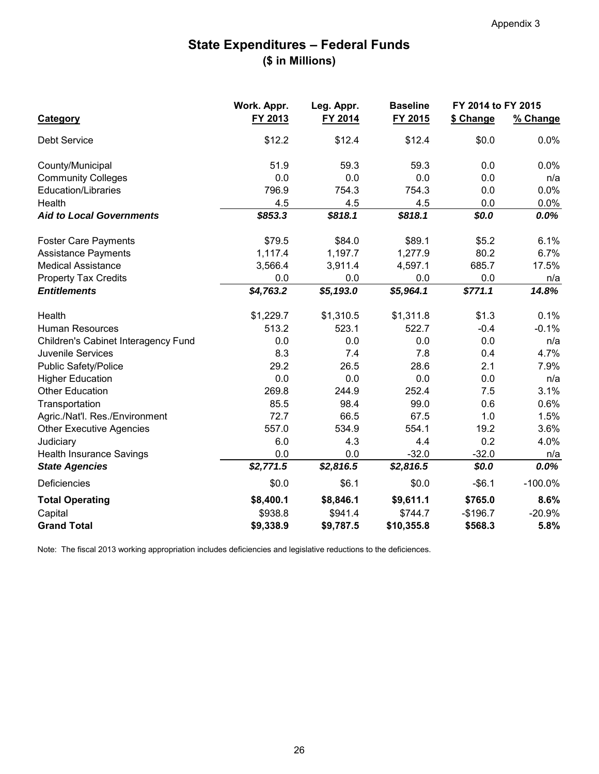#### **State Expenditures – Federal Funds (\$ in Millions)**

|                                            | Work. Appr. | Leg. Appr. | <b>Baseline</b> | FY 2014 to FY 2015 |            |
|--------------------------------------------|-------------|------------|-----------------|--------------------|------------|
| <b>Category</b>                            | FY 2013     | FY 2014    | FY 2015         | \$ Change          | % Change   |
| <b>Debt Service</b>                        | \$12.2      | \$12.4     | \$12.4          | \$0.0              | 0.0%       |
| County/Municipal                           | 51.9        | 59.3       | 59.3            | 0.0                | 0.0%       |
| <b>Community Colleges</b>                  | 0.0         | 0.0        | 0.0             | 0.0                | n/a        |
| <b>Education/Libraries</b>                 | 796.9       | 754.3      | 754.3           | 0.0                | 0.0%       |
| Health                                     | 4.5         | 4.5        | 4.5             | 0.0                | $0.0\%$    |
| <b>Aid to Local Governments</b>            | \$853.3     | \$818.1    | \$818.1         | \$0.0              | 0.0%       |
| <b>Foster Care Payments</b>                | \$79.5      | \$84.0     | \$89.1          | \$5.2              | 6.1%       |
| <b>Assistance Payments</b>                 | 1,117.4     | 1,197.7    | 1,277.9         | 80.2               | 6.7%       |
| <b>Medical Assistance</b>                  | 3,566.4     | 3,911.4    | 4,597.1         | 685.7              | 17.5%      |
| <b>Property Tax Credits</b>                | 0.0         | 0.0        | 0.0             | 0.0                | n/a        |
| <b>Entitlements</b>                        | \$4,763.2   | \$5,193.0  | \$5,964.1       | \$771.1            | 14.8%      |
| Health                                     | \$1,229.7   | \$1,310.5  | \$1,311.8       | \$1.3              | 0.1%       |
| <b>Human Resources</b>                     | 513.2       | 523.1      | 522.7           | $-0.4$             | $-0.1%$    |
| <b>Children's Cabinet Interagency Fund</b> | 0.0         | 0.0        | 0.0             | 0.0                | n/a        |
| <b>Juvenile Services</b>                   | 8.3         | 7.4        | 7.8             | 0.4                | 4.7%       |
| <b>Public Safety/Police</b>                | 29.2        | 26.5       | 28.6            | 2.1                | 7.9%       |
| <b>Higher Education</b>                    | 0.0         | 0.0        | 0.0             | 0.0                | n/a        |
| <b>Other Education</b>                     | 269.8       | 244.9      | 252.4           | 7.5                | 3.1%       |
| Transportation                             | 85.5        | 98.4       | 99.0            | 0.6                | 0.6%       |
| Agric./Nat'l. Res./Environment             | 72.7        | 66.5       | 67.5            | 1.0                | 1.5%       |
| <b>Other Executive Agencies</b>            | 557.0       | 534.9      | 554.1           | 19.2               | 3.6%       |
| Judiciary                                  | 6.0         | 4.3        | 4.4             | 0.2                | 4.0%       |
| <b>Health Insurance Savings</b>            | 0.0         | 0.0        | $-32.0$         | $-32.0$            | n/a        |
| <b>State Agencies</b>                      | \$2,771.5   | \$2,816.5  | \$2,816.5       | \$0.0              | $0.0\%$    |
| Deficiencies                               | \$0.0       | \$6.1      | \$0.0           | $-$ \$6.1          | $-100.0\%$ |
| <b>Total Operating</b>                     | \$8,400.1   | \$8,846.1  | \$9,611.1       | \$765.0            | 8.6%       |
| Capital                                    | \$938.8     | \$941.4    | \$744.7         | $-$196.7$          | $-20.9%$   |
| <b>Grand Total</b>                         | \$9,338.9   | \$9,787.5  | \$10,355.8      | \$568.3            | 5.8%       |

Note: The fiscal 2013 working appropriation includes deficiencies and legislative reductions to the deficiences.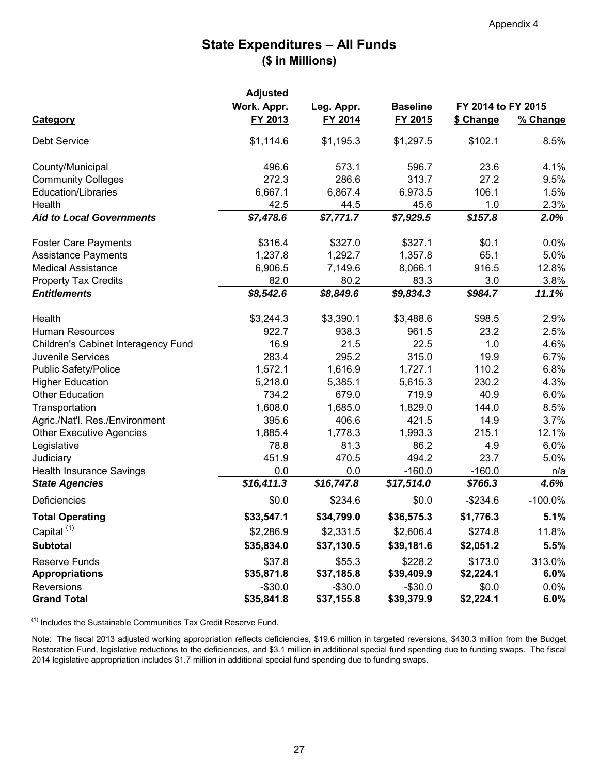#### **State Expenditures – All Funds (\$ in Millions)**

|                                            | <b>Adjusted</b> | Leg. Appr. | <b>Baseline</b> |                    |            |
|--------------------------------------------|-----------------|------------|-----------------|--------------------|------------|
|                                            | Work. Appr.     |            |                 | FY 2014 to FY 2015 |            |
| <b>Category</b>                            | FY 2013         | FY 2014    | FY 2015         | \$ Change          | % Change   |
| <b>Debt Service</b>                        | \$1,114.6       | \$1,195.3  | \$1,297.5       | \$102.1            | 8.5%       |
| County/Municipal                           | 496.6           | 573.1      | 596.7           | 23.6               | 4.1%       |
| <b>Community Colleges</b>                  | 272.3           | 286.6      | 313.7           | 27.2               | 9.5%       |
| <b>Education/Libraries</b>                 | 6,667.1         | 6,867.4    | 6,973.5         | 106.1              | 1.5%       |
| Health                                     | 42.5            | 44.5       | 45.6            | 1.0                | 2.3%       |
| <b>Aid to Local Governments</b>            | \$7,478.6       | \$7,771.7  | \$7,929.5       | \$157.8            | 2.0%       |
| <b>Foster Care Payments</b>                | \$316.4         | \$327.0    | \$327.1         | \$0.1              | $0.0\%$    |
| <b>Assistance Payments</b>                 | 1,237.8         | 1,292.7    | 1,357.8         | 65.1               | $5.0\%$    |
| <b>Medical Assistance</b>                  | 6,906.5         | 7,149.6    | 8,066.1         | 916.5              | 12.8%      |
| <b>Property Tax Credits</b>                | 82.0            | 80.2       | 83.3            | 3.0                | 3.8%       |
| <b>Entitlements</b>                        | \$8,542.6       | \$8,849.6  | \$9,834.3       | \$984.7            | 11.1%      |
| Health                                     | \$3,244.3       | \$3,390.1  | \$3,488.6       | \$98.5             | 2.9%       |
| <b>Human Resources</b>                     | 922.7           | 938.3      | 961.5           | 23.2               | 2.5%       |
| <b>Children's Cabinet Interagency Fund</b> | 16.9            | 21.5       | 22.5            | 1.0                | 4.6%       |
| <b>Juvenile Services</b>                   | 283.4           | 295.2      | 315.0           | 19.9               | 6.7%       |
| <b>Public Safety/Police</b>                | 1,572.1         | 1,616.9    | 1,727.1         | 110.2              | 6.8%       |
| <b>Higher Education</b>                    | 5,218.0         | 5,385.1    | 5,615.3         | 230.2              | 4.3%       |
| <b>Other Education</b>                     | 734.2           | 679.0      | 719.9           | 40.9               | 6.0%       |
| Transportation                             | 1,608.0         | 1,685.0    | 1,829.0         | 144.0              | 8.5%       |
| Agric./Nat'l. Res./Environment             | 395.6           | 406.6      | 421.5           | 14.9               | 3.7%       |
| <b>Other Executive Agencies</b>            | 1,885.4         | 1,778.3    | 1,993.3         | 215.1              | 12.1%      |
| Legislative                                | 78.8            | 81.3       | 86.2            | 4.9                | 6.0%       |
| Judiciary                                  | 451.9           | 470.5      | 494.2           | 23.7               | 5.0%       |
| <b>Health Insurance Savings</b>            | 0.0             | 0.0        | $-160.0$        | $-160.0$           | n/a        |
| <b>State Agencies</b>                      | \$16,411.3      | \$16,747.8 | \$17,514.0      | \$766.3            | 4.6%       |
| <b>Deficiencies</b>                        | \$0.0           | \$234.6    | \$0.0           | $-$234.6$          | $-100.0\%$ |
| <b>Total Operating</b>                     | \$33,547.1      | \$34,799.0 | \$36,575.3      | \$1,776.3          | 5.1%       |
| Capital <sup>(1)</sup>                     | \$2,286.9       | \$2,331.5  | \$2,606.4       | \$274.8            | 11.8%      |
| <b>Subtotal</b>                            | \$35,834.0      | \$37,130.5 | \$39,181.6      | \$2,051.2          | 5.5%       |
| <b>Reserve Funds</b>                       | \$37.8          | \$55.3     | \$228.2         | \$173.0            | 313.0%     |
| <b>Appropriations</b>                      | \$35,871.8      | \$37,185.8 | \$39,409.9      | \$2,224.1          | 6.0%       |
| <b>Reversions</b>                          | $-$30.0$        | $-$30.0$   | $-$30.0$        | \$0.0              | $0.0\%$    |
| <b>Grand Total</b>                         | \$35,841.8      | \$37,155.8 | \$39,379.9      | \$2,224.1          | 6.0%       |

 $(1)$  Includes the Sustainable Communities Tax Credit Reserve Fund.

Note: The fiscal 2013 adjusted working appropriation reflects deficiencies, \$19.6 million in targeted reversions, \$430.3 million from the Budget Restoration Fund, legislative reductions to the deficiencies, and \$3.1 million in additional special fund spending due to funding swaps. The fiscal 2014 legislative appropriation includes \$1.7 million in additional special fund spending due to funding swaps.